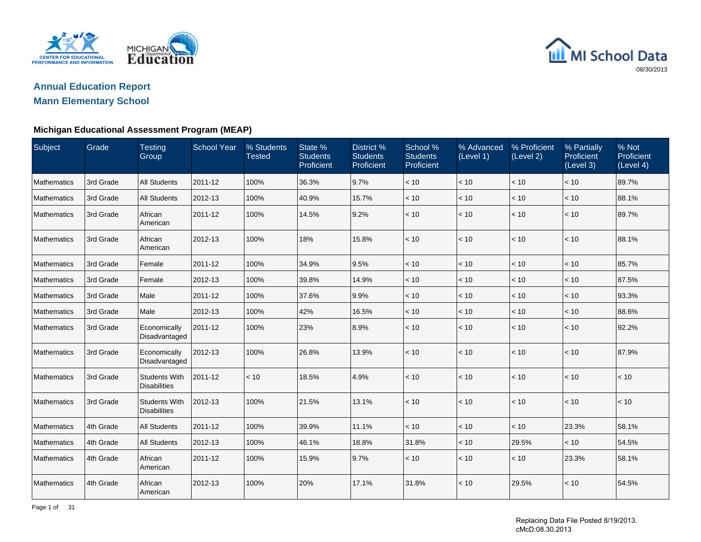

# **Annual Education Report**

# **Mann Elementary School**

| Subject            | Grade     | <b>Testing</b><br>Group                     | <b>School Year</b> | % Students<br><b>Tested</b> | State %<br><b>Students</b><br>Proficient | District %<br><b>Students</b><br>Proficient | School %<br><b>Students</b><br>Proficient | % Advanced<br>(Level 1) | % Proficient<br>(Level 2) | % Partially<br>Proficient<br>(Level 3) | % Not<br>Proficient<br>(Level 4) |
|--------------------|-----------|---------------------------------------------|--------------------|-----------------------------|------------------------------------------|---------------------------------------------|-------------------------------------------|-------------------------|---------------------------|----------------------------------------|----------------------------------|
| <b>Mathematics</b> | 3rd Grade | <b>All Students</b>                         | 2011-12            | 100%                        | 36.3%                                    | 9.7%                                        | < 10                                      | < 10                    | < 10                      | < 10                                   | 89.7%                            |
| <b>Mathematics</b> | 3rd Grade | <b>All Students</b>                         | 2012-13            | 100%                        | 40.9%                                    | 15.7%                                       | < 10                                      | $<10$                   | < 10                      | $<10$                                  | 88.1%                            |
| <b>Mathematics</b> | 3rd Grade | African<br>American                         | 2011-12            | 100%                        | 14.5%                                    | 9.2%                                        | < 10                                      | < 10                    | < 10                      | < 10                                   | 89.7%                            |
| <b>Mathematics</b> | 3rd Grade | African<br>American                         | 2012-13            | 100%                        | 18%                                      | 15.8%                                       | < 10                                      | < 10                    | < 10                      | $<10$                                  | 88.1%                            |
| <b>Mathematics</b> | 3rd Grade | Female                                      | 2011-12            | 100%                        | 34.9%                                    | 9.5%                                        | < 10                                      | < 10                    | < 10                      | < 10                                   | 85.7%                            |
| <b>Mathematics</b> | 3rd Grade | Female                                      | 2012-13            | 100%                        | 39.8%                                    | 14.9%                                       | < 10                                      | < 10                    | < 10                      | < 10                                   | 87.5%                            |
| <b>Mathematics</b> | 3rd Grade | Male                                        | 2011-12            | 100%                        | 37.6%                                    | 9.9%                                        | < 10                                      | < 10                    | < 10                      | < 10                                   | 93.3%                            |
| Mathematics        | 3rd Grade | Male                                        | 2012-13            | 100%                        | 42%                                      | 16.5%                                       | < 10                                      | $<10$                   | < 10                      | < 10                                   | 88.6%                            |
| <b>Mathematics</b> | 3rd Grade | Economically<br>Disadvantaged               | 2011-12            | 100%                        | 23%                                      | 8.9%                                        | < 10                                      | < 10                    | < 10                      | < 10                                   | 92.2%                            |
| <b>Mathematics</b> | 3rd Grade | Economically<br>Disadvantaged               | 2012-13            | 100%                        | 26.8%                                    | 13.9%                                       | < 10                                      | < 10                    | < 10                      | < 10                                   | 87.9%                            |
| <b>Mathematics</b> | 3rd Grade | <b>Students With</b><br><b>Disabilities</b> | 2011-12            | < 10                        | 18.5%                                    | 4.9%                                        | < 10                                      | < 10                    | < 10                      | < 10                                   | < 10                             |
| <b>Mathematics</b> | 3rd Grade | <b>Students With</b><br><b>Disabilities</b> | 2012-13            | 100%                        | 21.5%                                    | 13.1%                                       | < 10                                      | < 10                    | < 10                      | < 10                                   | $<10$                            |
| Mathematics        | 4th Grade | <b>All Students</b>                         | 2011-12            | 100%                        | 39.9%                                    | 11.1%                                       | < 10                                      | < 10                    | < 10                      | 23.3%                                  | 58.1%                            |
| Mathematics        | 4th Grade | <b>All Students</b>                         | 2012-13            | 100%                        | 46.1%                                    | 18.8%                                       | 31.8%                                     | < 10                    | 29.5%                     | < 10                                   | 54.5%                            |
| <b>Mathematics</b> | 4th Grade | African<br>American                         | 2011-12            | 100%                        | 15.9%                                    | 9.7%                                        | < 10                                      | < 10                    | < 10                      | 23.3%                                  | 58.1%                            |
| <b>Mathematics</b> | 4th Grade | African<br>American                         | 2012-13            | 100%                        | 20%                                      | 17.1%                                       | 31.8%                                     | < 10                    | 29.5%                     | < 10                                   | 54.5%                            |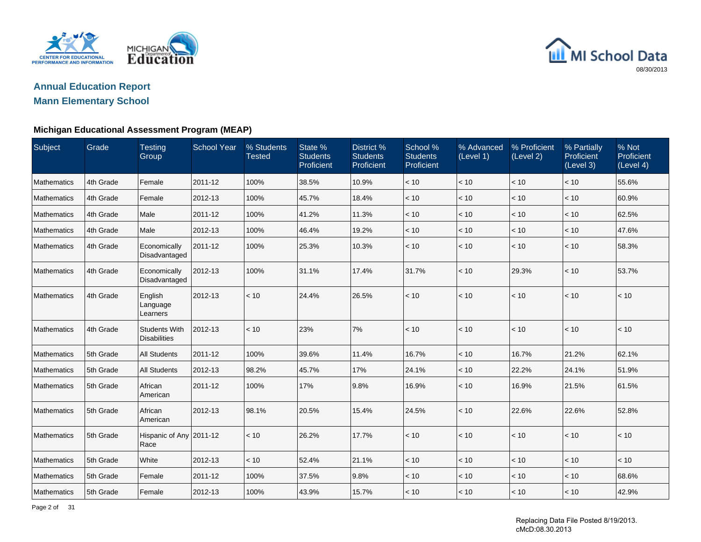

### **Annual Education ReportMann Elementary School**

| Subject            | Grade     | <b>Testing</b><br>Group                     | <b>School Year</b> | % Students<br><b>Tested</b> | State %<br><b>Students</b><br>Proficient | District %<br><b>Students</b><br>Proficient | School %<br><b>Students</b><br>Proficient | % Advanced<br>(Level 1) | % Proficient<br>(Level 2) | % Partially<br>Proficient<br>(Level 3) | % Not<br>Proficient<br>(Level 4) |
|--------------------|-----------|---------------------------------------------|--------------------|-----------------------------|------------------------------------------|---------------------------------------------|-------------------------------------------|-------------------------|---------------------------|----------------------------------------|----------------------------------|
| Mathematics        | 4th Grade | Female                                      | 2011-12            | 100%                        | 38.5%                                    | 10.9%                                       | < 10                                      | < 10                    | < 10                      | $<10$                                  | 55.6%                            |
| Mathematics        | 4th Grade | Female                                      | 2012-13            | 100%                        | 45.7%                                    | 18.4%                                       | < 10                                      | < 10                    | < 10                      | < 10                                   | 60.9%                            |
| Mathematics        | 4th Grade | Male                                        | 2011-12            | 100%                        | 41.2%                                    | 11.3%                                       | < 10                                      | < 10                    | < 10                      | < 10                                   | 62.5%                            |
| <b>Mathematics</b> | 4th Grade | Male                                        | 2012-13            | 100%                        | 46.4%                                    | 19.2%                                       | < 10                                      | < 10                    | < 10                      | < 10                                   | 47.6%                            |
| Mathematics        | 4th Grade | Economically<br>Disadvantaged               | 2011-12            | 100%                        | 25.3%                                    | 10.3%                                       | < 10                                      | < 10                    | < 10                      | < 10                                   | 58.3%                            |
| Mathematics        | 4th Grade | Economically<br>Disadvantaged               | 2012-13            | 100%                        | 31.1%                                    | 17.4%                                       | 31.7%                                     | < 10                    | 29.3%                     | < 10                                   | 53.7%                            |
| Mathematics        | 4th Grade | English<br>Language<br>Learners             | 2012-13            | < 10                        | 24.4%                                    | 26.5%                                       | < 10                                      | < 10                    | < 10                      | < 10                                   | < 10                             |
| Mathematics        | 4th Grade | <b>Students With</b><br><b>Disabilities</b> | 2012-13            | < 10                        | 23%                                      | 7%                                          | < 10                                      | < 10                    | < 10                      | < 10                                   | < 10                             |
| Mathematics        | 5th Grade | <b>All Students</b>                         | 2011-12            | 100%                        | 39.6%                                    | 11.4%                                       | 16.7%                                     | < 10                    | 16.7%                     | 21.2%                                  | 62.1%                            |
| <b>Mathematics</b> | 5th Grade | <b>All Students</b>                         | 2012-13            | 98.2%                       | 45.7%                                    | 17%                                         | 24.1%                                     | < 10                    | 22.2%                     | 24.1%                                  | 51.9%                            |
| Mathematics        | 5th Grade | African<br>American                         | 2011-12            | 100%                        | 17%                                      | 9.8%                                        | 16.9%                                     | < 10                    | 16.9%                     | 21.5%                                  | 61.5%                            |
| Mathematics        | 5th Grade | African<br>American                         | 2012-13            | 98.1%                       | 20.5%                                    | 15.4%                                       | 24.5%                                     | < 10                    | 22.6%                     | 22.6%                                  | 52.8%                            |
| Mathematics        | 5th Grade | Hispanic of Any 2011-12<br>Race             |                    | < 10                        | 26.2%                                    | 17.7%                                       | < 10                                      | < 10                    | < 10                      | < 10                                   | < 10                             |
| Mathematics        | 5th Grade | White                                       | 2012-13            | < 10                        | 52.4%                                    | 21.1%                                       | < 10                                      | < 10                    | < 10                      | < 10                                   | < 10                             |
| Mathematics        | 5th Grade | Female                                      | 2011-12            | 100%                        | 37.5%                                    | 9.8%                                        | < 10                                      | < 10                    | < 10                      | < 10                                   | 68.6%                            |
| Mathematics        | 5th Grade | Female                                      | 2012-13            | 100%                        | 43.9%                                    | 15.7%                                       | < 10                                      | < 10                    | < 10                      | < 10                                   | 42.9%                            |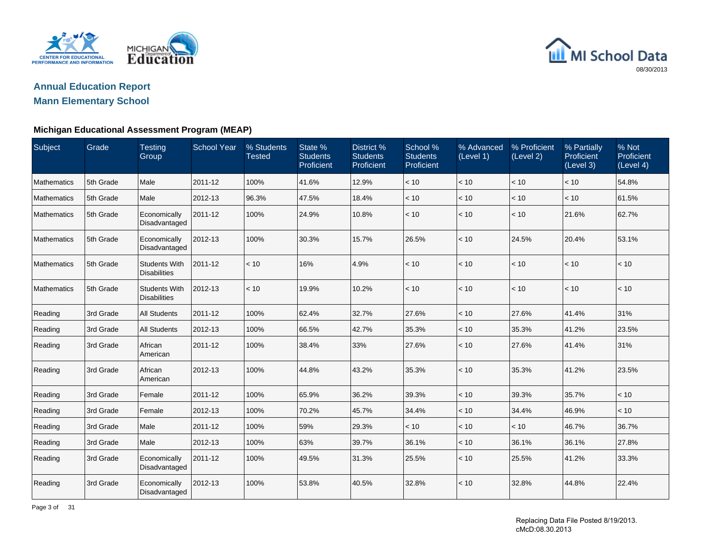

# **Annual Education Report**

# **Mann Elementary School**

| Subject            | Grade     | <b>Testing</b><br>Group                     | <b>School Year</b> | % Students<br><b>Tested</b> | State %<br><b>Students</b><br>Proficient | District %<br><b>Students</b><br>Proficient | School %<br><b>Students</b><br>Proficient | % Advanced<br>(Level 1) | % Proficient<br>(Level 2) | % Partially<br>Proficient<br>(Level 3) | % Not<br>Proficient<br>(Level 4) |
|--------------------|-----------|---------------------------------------------|--------------------|-----------------------------|------------------------------------------|---------------------------------------------|-------------------------------------------|-------------------------|---------------------------|----------------------------------------|----------------------------------|
| <b>Mathematics</b> | 5th Grade | Male                                        | 2011-12            | 100%                        | 41.6%                                    | 12.9%                                       | < 10                                      | < 10                    | < 10                      | < 10                                   | 54.8%                            |
| <b>Mathematics</b> | 5th Grade | Male                                        | 2012-13            | 96.3%                       | 47.5%                                    | 18.4%                                       | < 10                                      | $<10$                   | < 10                      | < 10                                   | 61.5%                            |
| <b>Mathematics</b> | 5th Grade | Economically<br>Disadvantaged               | 2011-12            | 100%                        | 24.9%                                    | 10.8%                                       | < 10                                      | < 10                    | < 10                      | 21.6%                                  | 62.7%                            |
| <b>Mathematics</b> | 5th Grade | Economically<br>Disadvantaged               | 2012-13            | 100%                        | 30.3%                                    | 15.7%                                       | 26.5%                                     | < 10                    | 24.5%                     | 20.4%                                  | 53.1%                            |
| <b>Mathematics</b> | 5th Grade | <b>Students With</b><br><b>Disabilities</b> | 2011-12            | < 10                        | 16%                                      | 4.9%                                        | < 10                                      | < 10                    | < 10                      | < 10                                   | < 10                             |
| <b>Mathematics</b> | 5th Grade | <b>Students With</b><br><b>Disabilities</b> | 2012-13            | < 10                        | 19.9%                                    | 10.2%                                       | < 10                                      | < 10                    | < 10                      | < 10                                   | < 10                             |
| Reading            | 3rd Grade | <b>All Students</b>                         | 2011-12            | 100%                        | 62.4%                                    | 32.7%                                       | 27.6%                                     | < 10                    | 27.6%                     | 41.4%                                  | 31%                              |
| Reading            | 3rd Grade | <b>All Students</b>                         | 2012-13            | 100%                        | 66.5%                                    | 42.7%                                       | 35.3%                                     | < 10                    | 35.3%                     | 41.2%                                  | 23.5%                            |
| Reading            | 3rd Grade | African<br>American                         | 2011-12            | 100%                        | 38.4%                                    | 33%                                         | 27.6%                                     | < 10                    | 27.6%                     | 41.4%                                  | 31%                              |
| Reading            | 3rd Grade | African<br>American                         | 2012-13            | 100%                        | 44.8%                                    | 43.2%                                       | 35.3%                                     | < 10                    | 35.3%                     | 41.2%                                  | 23.5%                            |
| Reading            | 3rd Grade | Female                                      | 2011-12            | 100%                        | 65.9%                                    | 36.2%                                       | 39.3%                                     | < 10                    | 39.3%                     | 35.7%                                  | < 10                             |
| Reading            | 3rd Grade | Female                                      | 2012-13            | 100%                        | 70.2%                                    | 45.7%                                       | 34.4%                                     | < 10                    | 34.4%                     | 46.9%                                  | < 10                             |
| Reading            | 3rd Grade | Male                                        | 2011-12            | 100%                        | 59%                                      | 29.3%                                       | < 10                                      | < 10                    | < 10                      | 46.7%                                  | 36.7%                            |
| Reading            | 3rd Grade | Male                                        | 2012-13            | 100%                        | 63%                                      | 39.7%                                       | 36.1%                                     | < 10                    | 36.1%                     | 36.1%                                  | 27.8%                            |
| Reading            | 3rd Grade | Economically<br>Disadvantaged               | 2011-12            | 100%                        | 49.5%                                    | 31.3%                                       | 25.5%                                     | < 10                    | 25.5%                     | 41.2%                                  | 33.3%                            |
| Reading            | 3rd Grade | Economically<br>Disadvantaged               | 2012-13            | 100%                        | 53.8%                                    | 40.5%                                       | 32.8%                                     | < 10                    | 32.8%                     | 44.8%                                  | 22.4%                            |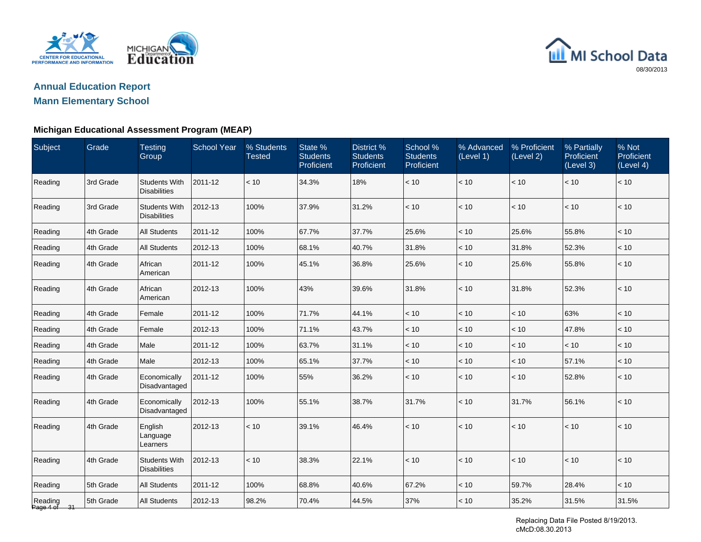

# **Annual Education Report**

# **Mann Elementary School**

### **Michigan Educational Assessment Program (MEAP)**

| Subject                 | Grade     | <b>Testing</b><br>Group                     | <b>School Year</b> | % Students<br><b>Tested</b> | State %<br><b>Students</b><br>Proficient | District %<br><b>Students</b><br>Proficient | School %<br><b>Students</b><br>Proficient | % Advanced<br>(Level 1) | % Proficient<br>(Level 2) | % Partially<br>Proficient<br>(Level 3) | % Not<br>Proficient<br>(Level 4) |
|-------------------------|-----------|---------------------------------------------|--------------------|-----------------------------|------------------------------------------|---------------------------------------------|-------------------------------------------|-------------------------|---------------------------|----------------------------------------|----------------------------------|
| Reading                 | 3rd Grade | <b>Students With</b><br><b>Disabilities</b> | 2011-12            | < 10                        | 34.3%                                    | 18%                                         | $<10$                                     | < 10                    | $<10$                     | < 10                                   | < 10                             |
| Reading                 | 3rd Grade | <b>Students With</b><br><b>Disabilities</b> | 2012-13            | 100%                        | 37.9%                                    | 31.2%                                       | < 10                                      | < 10                    | < 10                      | < 10                                   | < 10                             |
| Reading                 | 4th Grade | <b>All Students</b>                         | 2011-12            | 100%                        | 67.7%                                    | 37.7%                                       | 25.6%                                     | < 10                    | 25.6%                     | 55.8%                                  | < 10                             |
| Reading                 | 4th Grade | <b>All Students</b>                         | 2012-13            | 100%                        | 68.1%                                    | 40.7%                                       | 31.8%                                     | < 10                    | 31.8%                     | 52.3%                                  | < 10                             |
| Reading                 | 4th Grade | African<br>American                         | 2011-12            | 100%                        | 45.1%                                    | 36.8%                                       | 25.6%                                     | < 10                    | 25.6%                     | 55.8%                                  | < 10                             |
| Reading                 | 4th Grade | African<br>American                         | 2012-13            | 100%                        | 43%                                      | 39.6%                                       | 31.8%                                     | < 10                    | 31.8%                     | 52.3%                                  | < 10                             |
| Reading                 | 4th Grade | Female                                      | 2011-12            | 100%                        | 71.7%                                    | 44.1%                                       | < 10                                      | < 10                    | $<10$                     | 63%                                    | < 10                             |
| Reading                 | 4th Grade | Female                                      | 2012-13            | 100%                        | 71.1%                                    | 43.7%                                       | < 10                                      | < 10                    | < 10                      | 47.8%                                  | < 10                             |
| Reading                 | 4th Grade | Male                                        | 2011-12            | 100%                        | 63.7%                                    | 31.1%                                       | < 10                                      | < 10                    | < 10                      | < 10                                   | < 10                             |
| Reading                 | 4th Grade | Male                                        | 2012-13            | 100%                        | 65.1%                                    | 37.7%                                       | < 10                                      | < 10                    | < 10                      | 57.1%                                  | < 10                             |
| Reading                 | 4th Grade | Economically<br>Disadvantaged               | 2011-12            | 100%                        | 55%                                      | 36.2%                                       | $<10$                                     | < 10                    | < 10                      | 52.8%                                  | < 10                             |
| Reading                 | 4th Grade | Economically<br>Disadvantaged               | 2012-13            | 100%                        | 55.1%                                    | 38.7%                                       | 31.7%                                     | < 10                    | 31.7%                     | 56.1%                                  | < 10                             |
| Reading                 | 4th Grade | English<br>Language<br>Learners             | 2012-13            | < 10                        | 39.1%                                    | 46.4%                                       | < 10                                      | < 10                    | < 10                      | < 10                                   | < 10                             |
| Reading                 | 4th Grade | <b>Students With</b><br><b>Disabilities</b> | 2012-13            | < 10                        | 38.3%                                    | 22.1%                                       | < 10                                      | < 10                    | < 10                      | < 10                                   | < 10                             |
| Reading                 | 5th Grade | <b>All Students</b>                         | 2011-12            | 100%                        | 68.8%                                    | 40.6%                                       | 67.2%                                     | < 10                    | 59.7%                     | 28.4%                                  | < 10                             |
| Reading<br>Page 4 of 31 | 5th Grade | <b>All Students</b>                         | 2012-13            | 98.2%                       | 70.4%                                    | 44.5%                                       | 37%                                       | < 10                    | 35.2%                     | 31.5%                                  | 31.5%                            |

Replacing Data File Posted 8/19/2013. cMcD:08.30.2013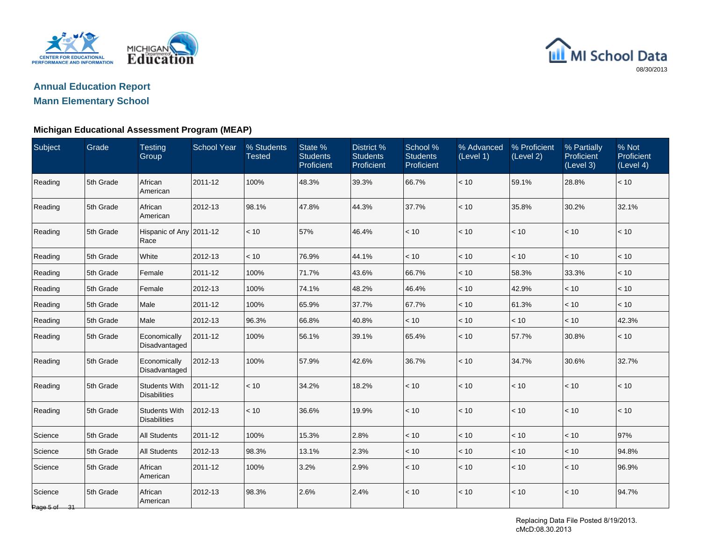



# **Annual Education Report**

# **Mann Elementary School**

| Subject                 | Grade     | <b>Testing</b><br>Group                     | <b>School Year</b> | % Students<br>Tested | State %<br><b>Students</b><br>Proficient | District <sub>%</sub><br><b>Students</b><br>Proficient | School %<br><b>Students</b><br>Proficient | % Advanced<br>(Level 1) | % Proficient<br>(Level 2) | % Partially<br>Proficient<br>(Level 3) | % Not<br>Proficient<br>(Level 4) |
|-------------------------|-----------|---------------------------------------------|--------------------|----------------------|------------------------------------------|--------------------------------------------------------|-------------------------------------------|-------------------------|---------------------------|----------------------------------------|----------------------------------|
| Reading                 | 5th Grade | African<br>American                         | 2011-12            | 100%                 | 48.3%                                    | 39.3%                                                  | 66.7%                                     | < 10                    | 59.1%                     | 28.8%                                  | < 10                             |
| Reading                 | 5th Grade | African<br>American                         | 2012-13            | 98.1%                | 47.8%                                    | 44.3%                                                  | 37.7%                                     | < 10                    | 35.8%                     | 30.2%                                  | 32.1%                            |
| Reading                 | 5th Grade | Hispanic of Any 2011-12<br>Race             |                    | < 10                 | 57%                                      | 46.4%                                                  | < 10                                      | < 10                    | < 10                      | < 10                                   | < 10                             |
| Reading                 | 5th Grade | White                                       | 2012-13            | < 10                 | 76.9%                                    | 44.1%                                                  | < 10                                      | < 10                    | < 10                      | < 10                                   | < 10                             |
| Reading                 | 5th Grade | Female                                      | 2011-12            | 100%                 | 71.7%                                    | 43.6%                                                  | 66.7%                                     | < 10                    | 58.3%                     | 33.3%                                  | < 10                             |
| Reading                 | 5th Grade | Female                                      | 2012-13            | 100%                 | 74.1%                                    | 48.2%                                                  | 46.4%                                     | < 10                    | 42.9%                     | < 10                                   | < 10                             |
| Reading                 | 5th Grade | Male                                        | 2011-12            | 100%                 | 65.9%                                    | 37.7%                                                  | 67.7%                                     | < 10                    | 61.3%                     | < 10                                   | < 10                             |
| Reading                 | 5th Grade | Male                                        | 2012-13            | 96.3%                | 66.8%                                    | 40.8%                                                  | < 10                                      | < 10                    | < 10                      | < 10                                   | 42.3%                            |
| Reading                 | 5th Grade | Economically<br>Disadvantaged               | 2011-12            | 100%                 | 56.1%                                    | 39.1%                                                  | 65.4%                                     | < 10                    | 57.7%                     | 30.8%                                  | < 10                             |
| Reading                 | 5th Grade | Economically<br>Disadvantaged               | 2012-13            | 100%                 | 57.9%                                    | 42.6%                                                  | 36.7%                                     | < 10                    | 34.7%                     | 30.6%                                  | 32.7%                            |
| Reading                 | 5th Grade | <b>Students With</b><br><b>Disabilities</b> | 2011-12            | < 10                 | 34.2%                                    | 18.2%                                                  | < 10                                      | < 10                    | < 10                      | < 10                                   | < 10                             |
| Reading                 | 5th Grade | <b>Students With</b><br><b>Disabilities</b> | 2012-13            | < 10                 | 36.6%                                    | 19.9%                                                  | < 10                                      | < 10                    | < 10                      | < 10                                   | < 10                             |
| Science                 | 5th Grade | <b>All Students</b>                         | 2011-12            | 100%                 | 15.3%                                    | 2.8%                                                   | < 10                                      | < 10                    | < 10                      | < 10                                   | 97%                              |
| Science                 | 5th Grade | <b>All Students</b>                         | 2012-13            | 98.3%                | 13.1%                                    | 2.3%                                                   | < 10                                      | < 10                    | < 10                      | < 10                                   | 94.8%                            |
| Science                 | 5th Grade | African<br>American                         | 2011-12            | 100%                 | 3.2%                                     | 2.9%                                                   | < 10                                      | < 10                    | < 10                      | < 10                                   | 96.9%                            |
| Science<br>Page 5 of 31 | 5th Grade | African<br>American                         | 2012-13            | 98.3%                | 2.6%                                     | 2.4%                                                   | < 10                                      | < 10                    | < 10                      | $<10$                                  | 94.7%                            |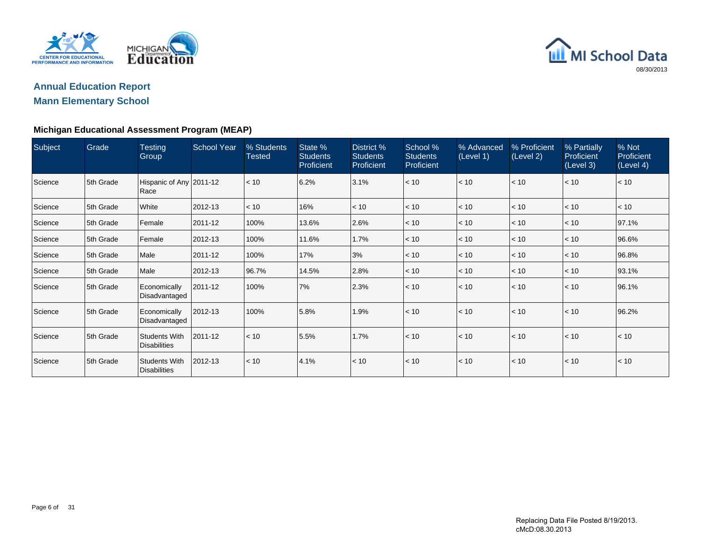



| Subject | Grade     | <b>Testing</b><br>Group                     | <b>School Year</b> | % Students<br><b>Tested</b> | State %<br><b>Students</b><br>Proficient | District %<br><b>Students</b><br>Proficient | School %<br><b>Students</b><br><b>Proficient</b> | % Advanced<br>(Level 1) | % Proficient<br>(Level 2) | % Partially<br>Proficient<br>(Level 3) | % Not<br>Proficient<br>(Level 4) |
|---------|-----------|---------------------------------------------|--------------------|-----------------------------|------------------------------------------|---------------------------------------------|--------------------------------------------------|-------------------------|---------------------------|----------------------------------------|----------------------------------|
| Science | 5th Grade | Hispanic of Any 2011-12<br>Race             |                    | < 10                        | 6.2%                                     | 3.1%                                        | < 10                                             | $\leq 10$               | < 10                      | < 10                                   | < 10                             |
| Science | 5th Grade | White                                       | 2012-13            | < 10                        | 16%                                      | < 10                                        | < 10                                             | $\leq 10$               | < 10                      | < 10                                   | < 10                             |
| Science | 5th Grade | Female                                      | 2011-12            | 100%                        | 13.6%                                    | 2.6%                                        | < 10                                             | < 10                    | < 10                      | < 10                                   | 97.1%                            |
| Science | 5th Grade | Female                                      | 2012-13            | 100%                        | 11.6%                                    | 1.7%                                        | < 10                                             | < 10                    | < 10                      | < 10                                   | 96.6%                            |
| Science | 5th Grade | Male                                        | 2011-12            | 100%                        | 17%                                      | 3%                                          | < 10                                             | < 10                    | < 10                      | < 10                                   | 96.8%                            |
| Science | 5th Grade | Male                                        | 2012-13            | 96.7%                       | 14.5%                                    | 2.8%                                        | < 10                                             | $\leq 10$               | < 10                      | < 10                                   | 93.1%                            |
| Science | 5th Grade | Economically<br>Disadvantaged               | 2011-12            | 100%                        | 7%                                       | 2.3%                                        | < 10                                             | < 10                    | < 10                      | < 10                                   | 96.1%                            |
| Science | 5th Grade | Economically<br>Disadvantaged               | 2012-13            | 100%                        | 5.8%                                     | 1.9%                                        | < 10                                             | < 10                    | < 10                      | < 10                                   | 96.2%                            |
| Science | 5th Grade | <b>Students With</b><br><b>Disabilities</b> | 2011-12            | < 10                        | 5.5%                                     | 1.7%                                        | < 10                                             | < 10                    | < 10                      | < 10                                   | < 10                             |
| Science | 5th Grade | <b>Students With</b><br><b>Disabilities</b> | 2012-13            | < 10                        | 4.1%                                     | < 10                                        | < 10                                             | $\leq 10$               | < 10                      | < 10                                   | < 10                             |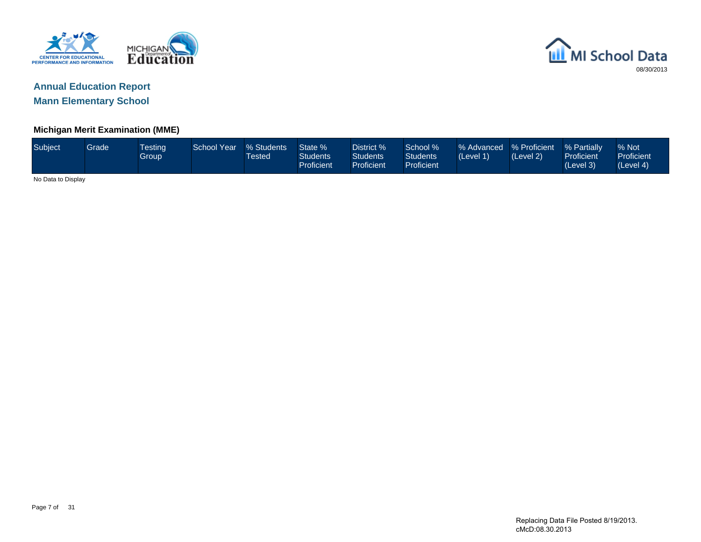



#### **Michigan Merit Examination (MME)**

| Subject            | Grade <sup>1</sup> | <b>Testing</b><br>Group | <b>School Year</b> | % Students<br><b>Tested</b> | State %<br><b>Students</b><br><b>Proficient</b> | District %<br>Students<br><b>Proficient</b> | School %<br><b>Students</b><br>Proficient | % Advanced % Proficient<br>(Level 1) | (Level 2) | % Partially<br>Proficient<br>(Level 3) | % Not<br>Proficient<br>(Level 4) |
|--------------------|--------------------|-------------------------|--------------------|-----------------------------|-------------------------------------------------|---------------------------------------------|-------------------------------------------|--------------------------------------|-----------|----------------------------------------|----------------------------------|
| No Data to Display |                    |                         |                    |                             |                                                 |                                             |                                           |                                      |           |                                        |                                  |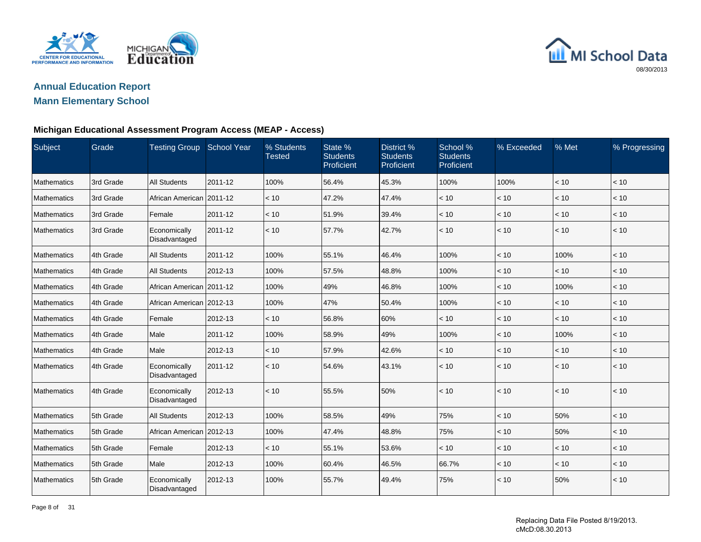



# **Annual Education Report**

# **Mann Elementary School**

#### **Michigan Educational Assessment Program Access (MEAP - Access)**

| Subject     | Grade     | <b>Testing Group</b>          | <b>School Year</b> | % Students<br><b>Tested</b> | State %<br><b>Students</b><br>Proficient | District %<br><b>Students</b><br>Proficient | School %<br><b>Students</b><br>Proficient | % Exceeded   | % Met | % Progressing |
|-------------|-----------|-------------------------------|--------------------|-----------------------------|------------------------------------------|---------------------------------------------|-------------------------------------------|--------------|-------|---------------|
| Mathematics | 3rd Grade | <b>All Students</b>           | 2011-12            | 100%                        | 56.4%                                    | 45.3%                                       | 100%                                      | 100%         | < 10  | < 10          |
| Mathematics | 3rd Grade | African American 2011-12      |                    | < 10                        | 47.2%                                    | 47.4%                                       | < 10                                      | < 10         | < 10  | < 10          |
| Mathematics | 3rd Grade | Female                        | 2011-12            | < 10                        | 51.9%                                    | 39.4%                                       | < 10                                      | < 10         | < 10  | < 10          |
| Mathematics | 3rd Grade | Economically<br>Disadvantaged | 2011-12            | < 10                        | 57.7%                                    | 42.7%                                       | < 10                                      | < 10         | < 10  | < 10          |
| Mathematics | 4th Grade | <b>All Students</b>           | 2011-12            | 100%                        | 55.1%                                    | 46.4%                                       | 100%                                      | < 10         | 100%  | < 10          |
| Mathematics | 4th Grade | <b>All Students</b>           | 2012-13            | 100%                        | 57.5%                                    | 48.8%                                       | 100%                                      | < 10         | < 10  | < 10          |
| Mathematics | 4th Grade | African American   2011-12    |                    | 100%                        | 49%                                      | 46.8%                                       | 100%                                      | < 10         | 100%  | < 10          |
| Mathematics | 4th Grade | African American              | 2012-13            | 100%                        | 47%                                      | 50.4%                                       | 100%                                      | < 10         | < 10  | < 10          |
| Mathematics | 4th Grade | Female                        | 2012-13            | < 10                        | 56.8%                                    | 60%                                         | < 10                                      | $ $ < 10     | $<10$ | < 10          |
| Mathematics | 4th Grade | Male                          | 2011-12            | 100%                        | 58.9%                                    | 49%                                         | 100%                                      | < 10         | 100%  | < 10          |
| Mathematics | 4th Grade | Male                          | 2012-13            | < 10                        | 57.9%                                    | 42.6%                                       | < 10                                      | < 10         | < 10  | < 10          |
| Mathematics | 4th Grade | Economically<br>Disadvantaged | 2011-12            | < 10                        | 54.6%                                    | 43.1%                                       | < 10                                      | $\vert$ < 10 | < 10  | < 10          |
| Mathematics | 4th Grade | Economically<br>Disadvantaged | 2012-13            | < 10                        | 55.5%                                    | 50%                                         | < 10                                      | $ $ < 10     | $<10$ | < 10          |
| Mathematics | 5th Grade | <b>All Students</b>           | 2012-13            | 100%                        | 58.5%                                    | 49%                                         | 75%                                       | < 10         | 50%   | < 10          |
| Mathematics | 5th Grade | African American 2012-13      |                    | 100%                        | 47.4%                                    | 48.8%                                       | 75%                                       | < 10         | 50%   | < 10          |
| Mathematics | 5th Grade | Female                        | 2012-13            | < 10                        | 55.1%                                    | 53.6%                                       | < 10                                      | < 10         | < 10  | < 10          |
| Mathematics | 5th Grade | Male                          | 2012-13            | 100%                        | 60.4%                                    | 46.5%                                       | 66.7%                                     | < 10         | < 10  | < 10          |
| Mathematics | 5th Grade | Economically<br>Disadvantaged | 2012-13            | 100%                        | 55.7%                                    | 49.4%                                       | 75%                                       | < 10         | 50%   | < 10          |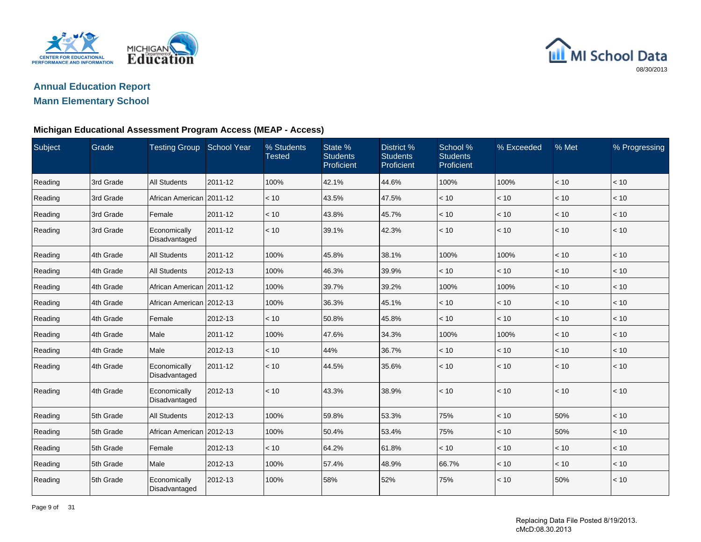



# **Annual Education Report**

# **Mann Elementary School**

#### **Michigan Educational Assessment Program Access (MEAP - Access)**

| Subject | Grade     | <b>Testing Group</b>          | <b>School Year</b> | % Students<br><b>Tested</b> | State %<br><b>Students</b><br>Proficient | District %<br><b>Students</b><br>Proficient | School %<br><b>Students</b><br>Proficient | % Exceeded | % Met | % Progressing |
|---------|-----------|-------------------------------|--------------------|-----------------------------|------------------------------------------|---------------------------------------------|-------------------------------------------|------------|-------|---------------|
| Reading | 3rd Grade | <b>All Students</b>           | 2011-12            | 100%                        | 42.1%                                    | 44.6%                                       | 100%                                      | 100%       | < 10  | < 10          |
| Reading | 3rd Grade | African American 2011-12      |                    | < 10                        | 43.5%                                    | 47.5%                                       | < 10                                      | < 10       | < 10  | < 10          |
| Reading | 3rd Grade | Female                        | 2011-12            | < 10                        | 43.8%                                    | 45.7%                                       | < 10                                      | < 10       | < 10  | < 10          |
| Reading | 3rd Grade | Economically<br>Disadvantaged | 2011-12            | < 10                        | 39.1%                                    | 42.3%                                       | < 10                                      | < 10       | < 10  | < 10          |
| Reading | 4th Grade | <b>All Students</b>           | 2011-12            | 100%                        | 45.8%                                    | 38.1%                                       | 100%                                      | 100%       | < 10  | < 10          |
| Reading | 4th Grade | <b>All Students</b>           | 2012-13            | 100%                        | 46.3%                                    | 39.9%                                       | < 10                                      | < 10       | < 10  | < 10          |
| Reading | 4th Grade | African American 2011-12      |                    | 100%                        | 39.7%                                    | 39.2%                                       | 100%                                      | 100%       | < 10  | < 10          |
| Reading | 4th Grade | African American 2012-13      |                    | 100%                        | 36.3%                                    | 45.1%                                       | < 10                                      | < 10       | < 10  | < 10          |
| Reading | 4th Grade | Female                        | 2012-13            | < 10                        | 50.8%                                    | 45.8%                                       | < 10                                      | < 10       | $<10$ | < 10          |
| Reading | 4th Grade | Male                          | 2011-12            | 100%                        | 47.6%                                    | 34.3%                                       | 100%                                      | 100%       | < 10  | < 10          |
| Reading | 4th Grade | Male                          | 2012-13            | < 10                        | 44%                                      | 36.7%                                       | < 10                                      | < 10       | < 10  | < 10          |
| Reading | 4th Grade | Economically<br>Disadvantaged | 2011-12            | < 10                        | 44.5%                                    | 35.6%                                       | < 10                                      | $ $ < 10   | $<10$ | < 10          |
| Reading | 4th Grade | Economically<br>Disadvantaged | 2012-13            | < 10                        | 43.3%                                    | 38.9%                                       | < 10                                      | < 10       | < 10  | < 10          |
| Reading | 5th Grade | <b>All Students</b>           | 2012-13            | 100%                        | 59.8%                                    | 53.3%                                       | 75%                                       | < 10       | 50%   | < 10          |
| Reading | 5th Grade | African American 2012-13      |                    | 100%                        | 50.4%                                    | 53.4%                                       | 75%                                       | < 10       | 50%   | < 10          |
| Reading | 5th Grade | Female                        | 2012-13            | < 10                        | 64.2%                                    | 61.8%                                       | < 10                                      | $<10$      | < 10  | < 10          |
| Reading | 5th Grade | Male                          | 2012-13            | 100%                        | 57.4%                                    | 48.9%                                       | 66.7%                                     | < 10       | < 10  | < 10          |
| Reading | 5th Grade | Economically<br>Disadvantaged | 2012-13            | 100%                        | 58%                                      | 52%                                         | 75%                                       | < 10       | 50%   | < 10          |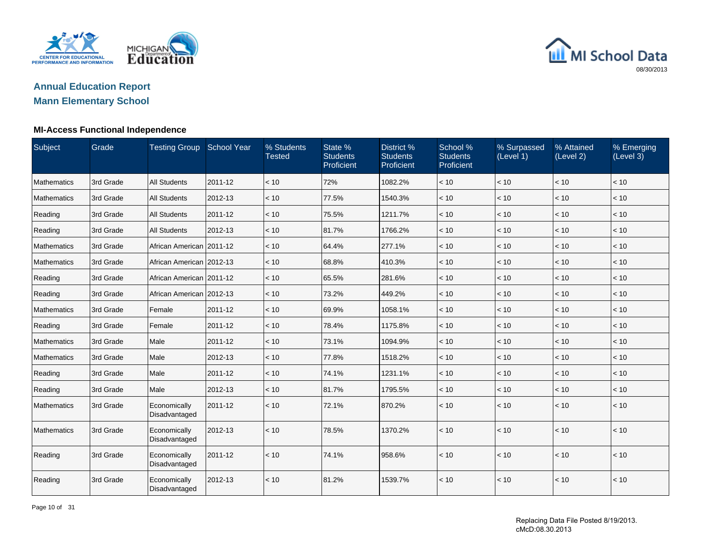

### **Annual Education ReportMann Elementary School**

#### **MI-Access Functional Independence**

| Subject            | Grade     | <b>Testing Group</b>          | <b>School Year</b> | % Students<br><b>Tested</b> | State %<br><b>Students</b><br>Proficient | District %<br><b>Students</b><br>Proficient | School %<br><b>Students</b><br>Proficient | % Surpassed<br>(Level 1) | % Attained<br>(Level 2) | % Emerging<br>(Level 3) |
|--------------------|-----------|-------------------------------|--------------------|-----------------------------|------------------------------------------|---------------------------------------------|-------------------------------------------|--------------------------|-------------------------|-------------------------|
| Mathematics        | 3rd Grade | <b>All Students</b>           | 2011-12            | < 10                        | 72%                                      | 1082.2%                                     | < 10                                      | < 10                     | < 10                    | < 10                    |
| Mathematics        | 3rd Grade | <b>All Students</b>           | 2012-13            | < 10                        | 77.5%                                    | 1540.3%                                     | < 10                                      | < 10                     | < 10                    | < 10                    |
| Reading            | 3rd Grade | <b>All Students</b>           | 2011-12            | < 10                        | 75.5%                                    | 1211.7%                                     | < 10                                      | < 10                     | < 10                    | < 10                    |
| Reading            | 3rd Grade | <b>All Students</b>           | 2012-13            | < 10                        | 81.7%                                    | 1766.2%                                     | < 10                                      | < 10                     | < 10                    | < 10                    |
| Mathematics        | 3rd Grade | African American 2011-12      |                    | < 10                        | 64.4%                                    | 277.1%                                      | < 10                                      | < 10                     | < 10                    | < 10                    |
| <b>Mathematics</b> | 3rd Grade | African American 2012-13      |                    | < 10                        | 68.8%                                    | 410.3%                                      | < 10                                      | < 10                     | < 10                    | < 10                    |
| Reading            | 3rd Grade | African American   2011-12    |                    | < 10                        | 65.5%                                    | 281.6%                                      | < 10                                      | < 10                     | < 10                    | < 10                    |
| Reading            | 3rd Grade | African American 2012-13      |                    | < 10                        | 73.2%                                    | 449.2%                                      | < 10                                      | < 10                     | < 10                    | < 10                    |
| <b>Mathematics</b> | 3rd Grade | Female                        | 2011-12            | < 10                        | 69.9%                                    | 1058.1%                                     | < 10                                      | < 10                     | < 10                    | < 10                    |
| Reading            | 3rd Grade | Female                        | 2011-12            | < 10                        | 78.4%                                    | 1175.8%                                     | < 10                                      | < 10                     | < 10                    | < 10                    |
| Mathematics        | 3rd Grade | Male                          | 2011-12            | < 10                        | 73.1%                                    | 1094.9%                                     | < 10                                      | < 10                     | < 10                    | < 10                    |
| <b>Mathematics</b> | 3rd Grade | Male                          | 2012-13            | < 10                        | 77.8%                                    | 1518.2%                                     | < 10                                      | < 10                     | < 10                    | < 10                    |
| Reading            | 3rd Grade | Male                          | 2011-12            | < 10                        | 74.1%                                    | 1231.1%                                     | < 10                                      | < 10                     | < 10                    | < 10                    |
| Reading            | 3rd Grade | Male                          | 2012-13            | < 10                        | 81.7%                                    | 1795.5%                                     | < 10                                      | < 10                     | < 10                    | < 10                    |
| <b>Mathematics</b> | 3rd Grade | Economically<br>Disadvantaged | 2011-12            | < 10                        | 72.1%                                    | 870.2%                                      | < 10                                      | < 10                     | < 10                    | < 10                    |
| <b>Mathematics</b> | 3rd Grade | Economically<br>Disadvantaged | 2012-13            | < 10                        | 78.5%                                    | 1370.2%                                     | < 10                                      | < 10                     | < 10                    | < 10                    |
| Reading            | 3rd Grade | Economically<br>Disadvantaged | 2011-12            | < 10                        | 74.1%                                    | 958.6%                                      | < 10                                      | < 10                     | < 10                    | < 10                    |
| Reading            | 3rd Grade | Economically<br>Disadvantaged | 2012-13            | < 10                        | 81.2%                                    | 1539.7%                                     | < 10                                      | < 10                     | < 10                    | < 10                    |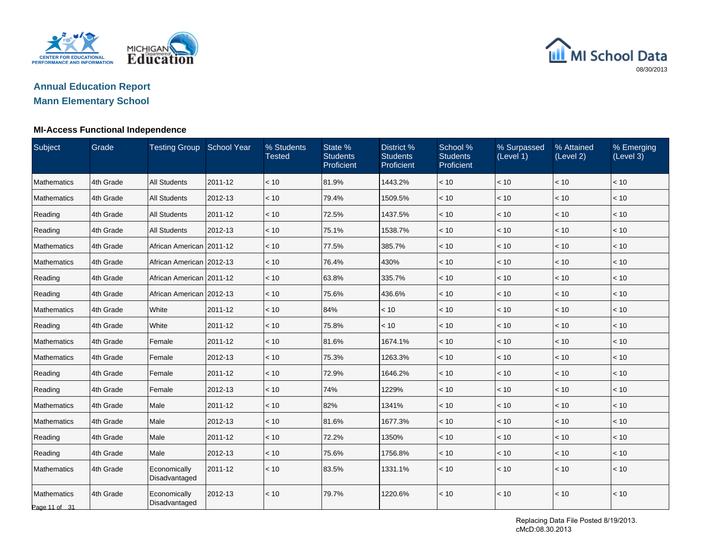

### **Annual Education ReportMann Elementary School**

#### **MI-Access Functional Independence**

| Subject                      | Grade     | Testing Group School Year     |         | % Students<br><b>Tested</b> | State %<br><b>Students</b><br>Proficient | District %<br><b>Students</b><br>Proficient | School %<br><b>Students</b><br>Proficient | % Surpassed<br>(Level 1) | % Attained<br>(Level 2) | % Emerging<br>(Level 3) |
|------------------------------|-----------|-------------------------------|---------|-----------------------------|------------------------------------------|---------------------------------------------|-------------------------------------------|--------------------------|-------------------------|-------------------------|
| <b>Mathematics</b>           | 4th Grade | <b>All Students</b>           | 2011-12 | < 10                        | 81.9%                                    | 1443.2%                                     | $<10$                                     | $<10$                    | < 10                    | < 10                    |
| Mathematics                  | 4th Grade | <b>All Students</b>           | 2012-13 | < 10                        | 79.4%                                    | 1509.5%                                     | < 10                                      | < 10                     | < 10                    | < 10                    |
| Reading                      | 4th Grade | <b>All Students</b>           | 2011-12 | < 10                        | 72.5%                                    | 1437.5%                                     | < 10                                      | < 10                     | < 10                    | < 10                    |
| Reading                      | 4th Grade | <b>All Students</b>           | 2012-13 | < 10                        | 75.1%                                    | 1538.7%                                     | < 10                                      | < 10                     | < 10                    | < 10                    |
| Mathematics                  | 4th Grade | African American   2011-12    |         | < 10                        | 77.5%                                    | 385.7%                                      | < 10                                      | < 10                     | < 10                    | < 10                    |
| Mathematics                  | 4th Grade | African American 2012-13      |         | < 10                        | 76.4%                                    | 430%                                        | < 10                                      | < 10                     | $<10$                   | $<10$                   |
| Reading                      | 4th Grade | African American   2011-12    |         | < 10                        | 63.8%                                    | 335.7%                                      | < 10                                      | < 10                     | < 10                    | < 10                    |
| Reading                      | 4th Grade | African American   2012-13    |         | < 10                        | 75.6%                                    | 436.6%                                      | < 10                                      | < 10                     | < 10                    | < 10                    |
| Mathematics                  | 4th Grade | White                         | 2011-12 | < 10                        | 84%                                      | < 10                                        | < 10                                      | < 10                     | < 10                    | < 10                    |
| Reading                      | 4th Grade | White                         | 2011-12 | < 10                        | 75.8%                                    | < 10                                        | < 10                                      | < 10                     | < 10                    | < 10                    |
| Mathematics                  | 4th Grade | Female                        | 2011-12 | < 10                        | 81.6%                                    | 1674.1%                                     | < 10                                      | < 10                     | $<10$                   | $<10$                   |
| Mathematics                  | 4th Grade | Female                        | 2012-13 | < 10                        | 75.3%                                    | 1263.3%                                     | < 10                                      | < 10                     | < 10                    | < 10                    |
| Reading                      | 4th Grade | Female                        | 2011-12 | < 10                        | 72.9%                                    | 1646.2%                                     | < 10                                      | < 10                     | < 10                    | < 10                    |
| Reading                      | 4th Grade | Female                        | 2012-13 | < 10                        | 74%                                      | 1229%                                       | < 10                                      | < 10                     | < 10                    | < 10                    |
| Mathematics                  | 4th Grade | Male                          | 2011-12 | < 10                        | 82%                                      | 1341%                                       | < 10                                      | < 10                     | < 10                    | $<10$                   |
| Mathematics                  | 4th Grade | Male                          | 2012-13 | < 10                        | 81.6%                                    | 1677.3%                                     | < 10                                      | < 10                     | $<10$                   | $<10$                   |
| Reading                      | 4th Grade | Male                          | 2011-12 | < 10                        | 72.2%                                    | 1350%                                       | < 10                                      | < 10                     | < 10                    | < 10                    |
| Reading                      | 4th Grade | Male                          | 2012-13 | < 10                        | 75.6%                                    | 1756.8%                                     | < 10                                      | < 10                     | < 10                    | < 10                    |
| <b>Mathematics</b>           | 4th Grade | Economically<br>Disadvantaged | 2011-12 | < 10                        | 83.5%                                    | 1331.1%                                     | < 10                                      | < 10                     | < 10                    | < 10                    |
| Mathematics<br>Page 11 of 31 | 4th Grade | Economically<br>Disadvantaged | 2012-13 | < 10                        | 79.7%                                    | 1220.6%                                     | < 10                                      | < 10                     | < 10                    | < 10                    |

Replacing Data File Posted 8/19/2013. cMcD:08.30.2013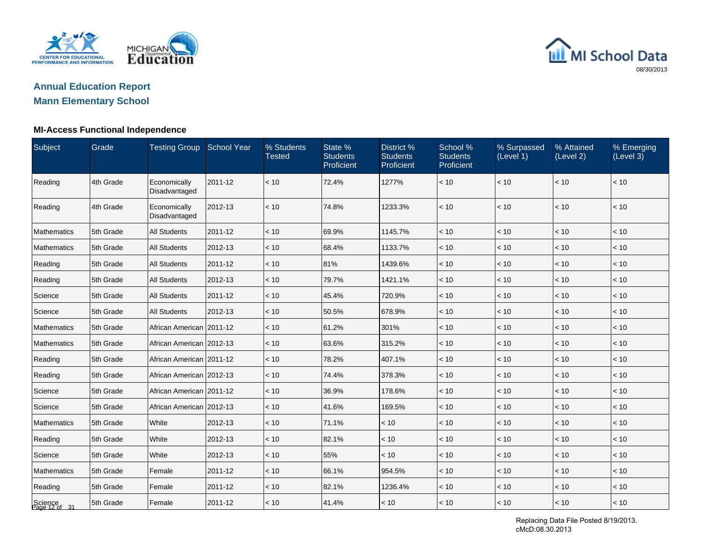

# **Annual Education ReportMann Elementary School**

#### **MI-Access Functional Independence**

| Subject                  | Grade     | <b>Testing Group School Year</b> |         | % Students<br><b>Tested</b> | State %<br><b>Students</b><br>Proficient | District %<br><b>Students</b><br>Proficient | School %<br><b>Students</b><br>Proficient | % Surpassed<br>(Level 1) | % Attained<br>(Level 2) | % Emerging<br>(Level 3) |
|--------------------------|-----------|----------------------------------|---------|-----------------------------|------------------------------------------|---------------------------------------------|-------------------------------------------|--------------------------|-------------------------|-------------------------|
| Reading                  | 4th Grade | Economically<br>Disadvantaged    | 2011-12 | < 10                        | 72.4%                                    | 1277%                                       | < 10                                      | < 10                     | < 10                    | < 10                    |
| Reading                  | 4th Grade | Economically<br>Disadvantaged    | 2012-13 | < 10                        | 74.8%                                    | 1233.3%                                     | < 10                                      | < 10                     | < 10                    | < 10                    |
| <b>Mathematics</b>       | 5th Grade | <b>All Students</b>              | 2011-12 | < 10                        | 69.9%                                    | 1145.7%                                     | < 10                                      | < 10                     | < 10                    | < 10                    |
| Mathematics              | 5th Grade | <b>All Students</b>              | 2012-13 | < 10                        | 68.4%                                    | 1133.7%                                     | < 10                                      | < 10                     | < 10                    | < 10                    |
| Reading                  | 5th Grade | <b>All Students</b>              | 2011-12 | < 10                        | 81%                                      | 1439.6%                                     | < 10                                      | < 10                     | < 10                    | < 10                    |
| Reading                  | 5th Grade | <b>All Students</b>              | 2012-13 | < 10                        | 79.7%                                    | 1421.1%                                     | < 10                                      | < 10                     | < 10                    | < 10                    |
| Science                  | 5th Grade | <b>All Students</b>              | 2011-12 | < 10                        | 45.4%                                    | 720.9%                                      | < 10                                      | $<10$                    | < 10                    | < 10                    |
| Science                  | 5th Grade | <b>All Students</b>              | 2012-13 | < 10                        | 50.5%                                    | 678.9%                                      | < 10                                      | < 10                     | < 10                    | < 10                    |
| Mathematics              | 5th Grade | African American   2011-12       |         | < 10                        | 61.2%                                    | 301%                                        | < 10                                      | < 10                     | < 10                    | < 10                    |
| Mathematics              | 5th Grade | African American 2012-13         |         | < 10                        | 63.6%                                    | 315.2%                                      | < 10                                      | < 10                     | < 10                    | < 10                    |
| Reading                  | 5th Grade | African American   2011-12       |         | < 10                        | 78.2%                                    | 407.1%                                      | < 10                                      | < 10                     | < 10                    | < 10                    |
| Reading                  | 5th Grade | African American 2012-13         |         | < 10                        | 74.4%                                    | 378.3%                                      | < 10                                      | < 10                     | < 10                    | < 10                    |
| Science                  | 5th Grade | African American 2011-12         |         | < 10                        | 36.9%                                    | 178.6%                                      | < 10                                      | $<10$                    | < 10                    | < 10                    |
| Science                  | 5th Grade | African American 2012-13         |         | < 10                        | 41.6%                                    | 169.5%                                      | < 10                                      | < 10                     | < 10                    | < 10                    |
| Mathematics              | 5th Grade | White                            | 2012-13 | < 10                        | 71.1%                                    | < 10                                        | < 10                                      | < 10                     | < 10                    | < 10                    |
| Reading                  | 5th Grade | White                            | 2012-13 | < 10                        | 82.1%                                    | < 10                                        | < 10                                      | < 10                     | < 10                    | < 10                    |
| Science                  | 5th Grade | White                            | 2012-13 | < 10                        | 55%                                      | < 10                                        | < 10                                      | < 10                     | < 10                    | < 10                    |
| Mathematics              | 5th Grade | Female                           | 2011-12 | < 10                        | 66.1%                                    | 954.5%                                      | < 10                                      | $<10$                    | < 10                    | < 10                    |
| Reading                  | 5th Grade | Female                           | 2011-12 | < 10                        | 82.1%                                    | 1236.4%                                     | < 10                                      | $<10$                    | < 10                    | < 10                    |
| Science<br>Page 12 of 31 | 5th Grade | Female                           | 2011-12 | < 10                        | 41.4%                                    | < 10                                        | < 10                                      | $ $ < 10                 | < 10                    | < 10                    |

Replacing Data File Posted 8/19/2013. cMcD:08.30.2013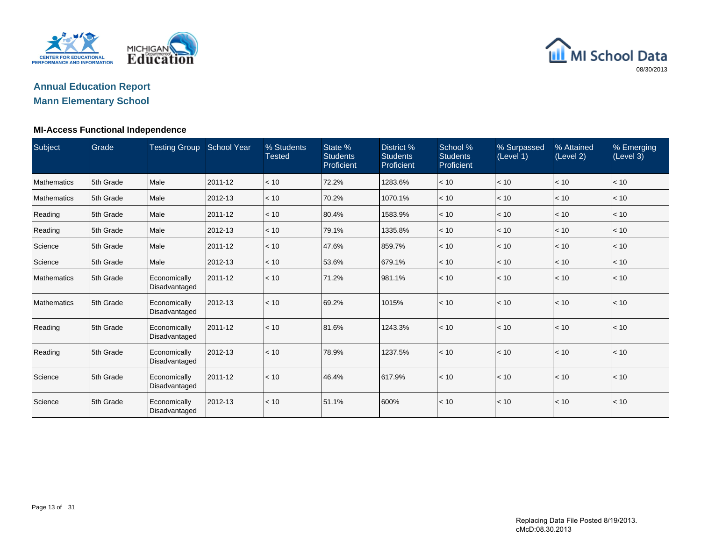

# **Annual Education Report**

# **Mann Elementary School**

#### **MI-Access Functional Independence**

| Subject     | Grade     | <b>Testing Group</b>          | <b>School Year</b> | % Students<br><b>Tested</b> | State %<br><b>Students</b><br>Proficient | District %<br><b>Students</b><br>Proficient | School %<br><b>Students</b><br>Proficient | % Surpassed<br>(Level 1) | % Attained<br>(Level 2) | % Emerging<br>(Level 3) |
|-------------|-----------|-------------------------------|--------------------|-----------------------------|------------------------------------------|---------------------------------------------|-------------------------------------------|--------------------------|-------------------------|-------------------------|
| Mathematics | 5th Grade | Male                          | 2011-12            | < 10                        | 72.2%                                    | 1283.6%                                     | < 10                                      | $ $ < 10 $ $             | < 10                    | < 10                    |
| Mathematics | 5th Grade | Male                          | 2012-13            | < 10                        | 70.2%                                    | 1070.1%                                     | < 10                                      | $ $ < 10 $ $             | < 10                    | < 10                    |
| Reading     | 5th Grade | Male                          | 2011-12            | < 10                        | 80.4%                                    | 1583.9%                                     | < 10                                      | $ $ < 10                 | < 10                    | < 10                    |
| Reading     | 5th Grade | Male                          | 2012-13            | < 10                        | 79.1%                                    | 1335.8%                                     | < 10                                      | $ $ < 10 $ $             | < 10                    | < 10                    |
| Science     | 5th Grade | Male                          | 2011-12            | < 10                        | 47.6%                                    | 859.7%                                      | < 10                                      | $ $ < 10                 | < 10                    | < 10                    |
| Science     | 5th Grade | Male                          | 2012-13            | < 10                        | 53.6%                                    | 679.1%                                      | < 10                                      | $ $ < 10                 | < 10                    | < 10                    |
| Mathematics | 5th Grade | Economically<br>Disadvantaged | 2011-12            | < 10                        | 71.2%                                    | 981.1%                                      | < 10                                      | $\vert$ < 10             | < 10                    | < 10                    |
| Mathematics | 5th Grade | Economically<br>Disadvantaged | 2012-13            | < 10                        | 69.2%                                    | 1015%                                       | < 10                                      | $\vert$ < 10             | < 10                    | < 10                    |
| Reading     | 5th Grade | Economically<br>Disadvantaged | 2011-12            | < 10                        | 81.6%                                    | 1243.3%                                     | < 10                                      | $\vert$ < 10             | < 10                    | < 10                    |
| Reading     | 5th Grade | Economically<br>Disadvantaged | 2012-13            | < 10                        | 78.9%                                    | 1237.5%                                     | < 10                                      | $\vert$ < 10             | < 10                    | < 10                    |
| Science     | 5th Grade | Economically<br>Disadvantaged | 2011-12            | < 10                        | 46.4%                                    | 617.9%                                      | < 10                                      | $\vert$ < 10             | < 10                    | < 10                    |
| Science     | 5th Grade | Economically<br>Disadvantaged | 2012-13            | < 10                        | 51.1%                                    | 600%                                        | < 10                                      | $\vert$ < 10             | < 10                    | < 10                    |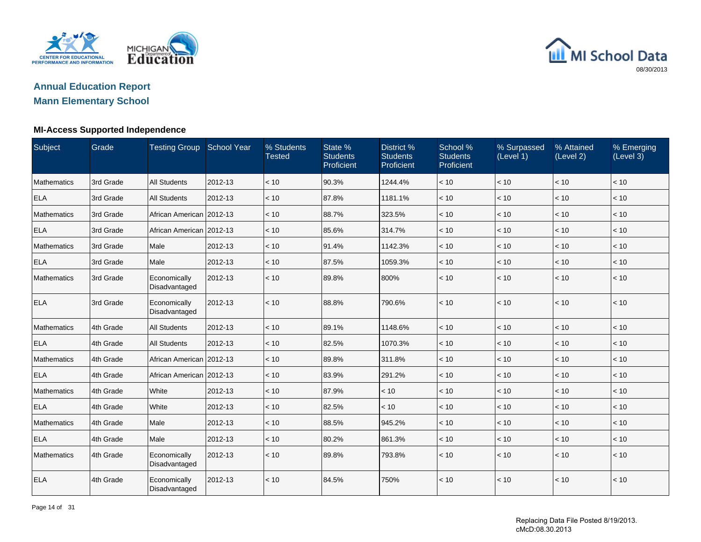

### **Annual Education ReportMann Elementary School**

### **MI-Access Supported Independence**

| Subject            | Grade     | Testing Group School Year     |         | % Students<br><b>Tested</b> | State %<br><b>Students</b><br>Proficient | District %<br><b>Students</b><br>Proficient | School %<br><b>Students</b><br>Proficient | % Surpassed<br>(Level 1) | % Attained<br>(Level 2) | % Emerging<br>(Level 3) |
|--------------------|-----------|-------------------------------|---------|-----------------------------|------------------------------------------|---------------------------------------------|-------------------------------------------|--------------------------|-------------------------|-------------------------|
| <b>Mathematics</b> | 3rd Grade | <b>All Students</b>           | 2012-13 | < 10                        | 90.3%                                    | 1244.4%                                     | < 10                                      | < 10                     | < 10                    | < 10                    |
| <b>ELA</b>         | 3rd Grade | <b>All Students</b>           | 2012-13 | < 10                        | 87.8%                                    | 1181.1%                                     | < 10                                      | < 10                     | < 10                    | < 10                    |
| <b>Mathematics</b> | 3rd Grade | African American 2012-13      |         | < 10                        | 88.7%                                    | 323.5%                                      | < 10                                      | < 10                     | < 10                    | $<10$                   |
| <b>ELA</b>         | 3rd Grade | African American 2012-13      |         | < 10                        | 85.6%                                    | 314.7%                                      | < 10                                      | < 10                     | < 10                    | < 10                    |
| <b>Mathematics</b> | 3rd Grade | Male                          | 2012-13 | < 10                        | 91.4%                                    | 1142.3%                                     | < 10                                      | < 10                     | < 10                    | < 10                    |
| <b>ELA</b>         | 3rd Grade | Male                          | 2012-13 | < 10                        | 87.5%                                    | 1059.3%                                     | < 10                                      | < 10                     | $<10$                   | $<10$                   |
| <b>Mathematics</b> | 3rd Grade | Economically<br>Disadvantaged | 2012-13 | < 10                        | 89.8%                                    | 800%                                        | < 10                                      | < 10                     | < 10                    | < 10                    |
| <b>ELA</b>         | 3rd Grade | Economically<br>Disadvantaged | 2012-13 | < 10                        | 88.8%                                    | 790.6%                                      | < 10                                      | < 10                     | < 10                    | $<10$                   |
| <b>Mathematics</b> | 4th Grade | <b>All Students</b>           | 2012-13 | < 10                        | 89.1%                                    | 1148.6%                                     | < 10                                      | < 10                     | < 10                    | < 10                    |
| <b>ELA</b>         | 4th Grade | <b>All Students</b>           | 2012-13 | < 10                        | 82.5%                                    | 1070.3%                                     | < 10                                      | < 10                     | < 10                    | < 10                    |
| <b>Mathematics</b> | 4th Grade | African American   2012-13    |         | < 10                        | 89.8%                                    | 311.8%                                      | < 10                                      | < 10                     | < 10                    | < 10                    |
| <b>ELA</b>         | 4th Grade | African American 2012-13      |         | < 10                        | 83.9%                                    | 291.2%                                      | < 10                                      | < 10                     | < 10                    | < 10                    |
| <b>Mathematics</b> | 4th Grade | White                         | 2012-13 | < 10                        | 87.9%                                    | < 10                                        | $<10$                                     | < 10                     | < 10                    | < 10                    |
| <b>ELA</b>         | 4th Grade | White                         | 2012-13 | < 10                        | 82.5%                                    | < 10                                        | < 10                                      | < 10                     | < 10                    | < 10                    |
| <b>Mathematics</b> | 4th Grade | Male                          | 2012-13 | < 10                        | 88.5%                                    | 945.2%                                      | < 10                                      | < 10                     | < 10                    | < 10                    |
| <b>ELA</b>         | 4th Grade | Male                          | 2012-13 | < 10                        | 80.2%                                    | 861.3%                                      | < 10                                      | < 10                     | < 10                    | < 10                    |
| <b>Mathematics</b> | 4th Grade | Economically<br>Disadvantaged | 2012-13 | < 10                        | 89.8%                                    | 793.8%                                      | < 10                                      | < 10                     | < 10                    | < 10                    |
| <b>ELA</b>         | 4th Grade | Economically<br>Disadvantaged | 2012-13 | < 10                        | 84.5%                                    | 750%                                        | < 10                                      | < 10                     | < 10                    | $<10$                   |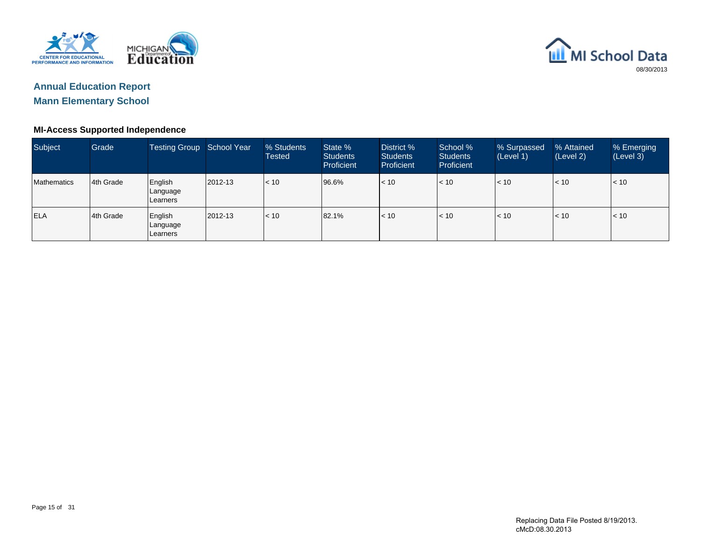



### **MI-Access Supported Independence**

| Subject     | Grade      | Testing Group School Year       |               | % Students<br><b>Tested</b> | State %<br><b>Students</b><br><b>Proficient</b> | District %<br><b>Students</b><br>Proficient | School %<br><b>Students</b><br><b>Proficient</b> | % Surpassed<br>(Level 1) | % Attained<br>(Level 2) | % Emerging<br>(Level 3) |
|-------------|------------|---------------------------------|---------------|-----------------------------|-------------------------------------------------|---------------------------------------------|--------------------------------------------------|--------------------------|-------------------------|-------------------------|
| Mathematics | 14th Grade | English<br>Language<br>Learners | $ 2012 - 13 $ | $ $ < 10                    | 96.6%                                           | $ $ < 10                                    | < 10                                             | < 10                     | < 10                    | < 10                    |
| <b>ELA</b>  | l4th Grade | English<br>Language<br>Learners | 2012-13       | $\mathsf{I}$ < 10           | 82.1%                                           | $ $ < 10                                    | < 10                                             | < 10                     | < 10                    | < 10                    |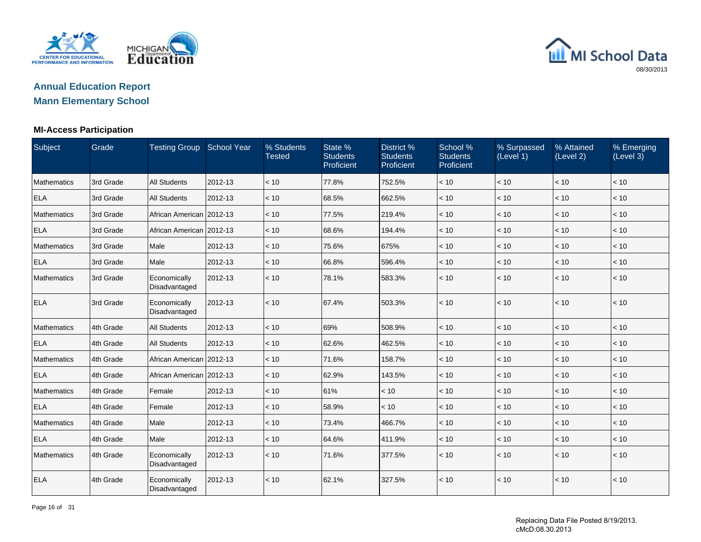

### **Annual Education ReportMann Elementary School**

#### **MI-Access Participation**

| Subject            | Grade     | <b>Testing Group School Year</b> |         | % Students<br><b>Tested</b> | State %<br><b>Students</b><br>Proficient | District %<br><b>Students</b><br>Proficient | School %<br><b>Students</b><br>Proficient | % Surpassed<br>(Level 1) | % Attained<br>(Level 2) | % Emerging<br>(Level 3) |
|--------------------|-----------|----------------------------------|---------|-----------------------------|------------------------------------------|---------------------------------------------|-------------------------------------------|--------------------------|-------------------------|-------------------------|
| <b>Mathematics</b> | 3rd Grade | <b>All Students</b>              | 2012-13 | < 10                        | 77.8%                                    | 752.5%                                      | < 10                                      | < 10                     | < 10                    | < 10                    |
| <b>ELA</b>         | 3rd Grade | <b>All Students</b>              | 2012-13 | < 10                        | 68.5%                                    | 662.5%                                      | < 10                                      | < 10                     | < 10                    | < 10                    |
| <b>Mathematics</b> | 3rd Grade | African American 2012-13         |         | < 10                        | 77.5%                                    | 219.4%                                      | < 10                                      | $<10$                    | < 10                    | < 10                    |
| <b>ELA</b>         | 3rd Grade | African American 2012-13         |         | < 10                        | 68.6%                                    | 194.4%                                      | < 10                                      | < 10                     | < 10                    | < 10                    |
| <b>Mathematics</b> | 3rd Grade | Male                             | 2012-13 | < 10                        | 75.6%                                    | 675%                                        | < 10                                      | < 10                     | < 10                    | < 10                    |
| <b>ELA</b>         | 3rd Grade | Male                             | 2012-13 | < 10                        | 66.8%                                    | 596.4%                                      | < 10                                      | < 10                     | < 10                    | < 10                    |
| <b>Mathematics</b> | 3rd Grade | Economically<br>Disadvantaged    | 2012-13 | < 10                        | 78.1%                                    | 583.3%                                      | < 10                                      | < 10                     | < 10                    | < 10                    |
| <b>ELA</b>         | 3rd Grade | Economically<br>Disadvantaged    | 2012-13 | < 10                        | 67.4%                                    | 503.3%                                      | < 10                                      | < 10                     | < 10                    | < 10                    |
| <b>Mathematics</b> | 4th Grade | <b>All Students</b>              | 2012-13 | < 10                        | 69%                                      | 508.9%                                      | < 10                                      | < 10                     | < 10                    | < 10                    |
| <b>ELA</b>         | 4th Grade | <b>All Students</b>              | 2012-13 | < 10                        | 62.6%                                    | 462.5%                                      | < 10                                      | < 10                     | < 10                    | < 10                    |
| <b>Mathematics</b> | 4th Grade | African American 2012-13         |         | < 10                        | 71.6%                                    | 158.7%                                      | < 10                                      | < 10                     | < 10                    | < 10                    |
| <b>ELA</b>         | 4th Grade | African American 2012-13         |         | < 10                        | 62.9%                                    | 143.5%                                      | < 10                                      | < 10                     | < 10                    | < 10                    |
| <b>Mathematics</b> | 4th Grade | Female                           | 2012-13 | $~<$ 10                     | 61%                                      | < 10                                        | < 10                                      | < 10                     | < 10                    | < 10                    |
| <b>ELA</b>         | 4th Grade | Female                           | 2012-13 | < 10                        | 58.9%                                    | < 10                                        | < 10                                      | < 10                     | < 10                    | < 10                    |
| <b>Mathematics</b> | 4th Grade | Male                             | 2012-13 | < 10                        | 73.4%                                    | 466.7%                                      | < 10                                      | < 10                     | < 10                    | < 10                    |
| <b>ELA</b>         | 4th Grade | Male                             | 2012-13 | < 10                        | 64.6%                                    | 411.9%                                      | < 10                                      | < 10                     | < 10                    | < 10                    |
| <b>Mathematics</b> | 4th Grade | Economically<br>Disadvantaged    | 2012-13 | < 10                        | 71.6%                                    | 377.5%                                      | < 10                                      | < 10                     | < 10                    | < 10                    |
| <b>ELA</b>         | 4th Grade | Economically<br>Disadvantaged    | 2012-13 | < 10                        | 62.1%                                    | 327.5%                                      | < 10                                      | < 10                     | < 10                    | < 10                    |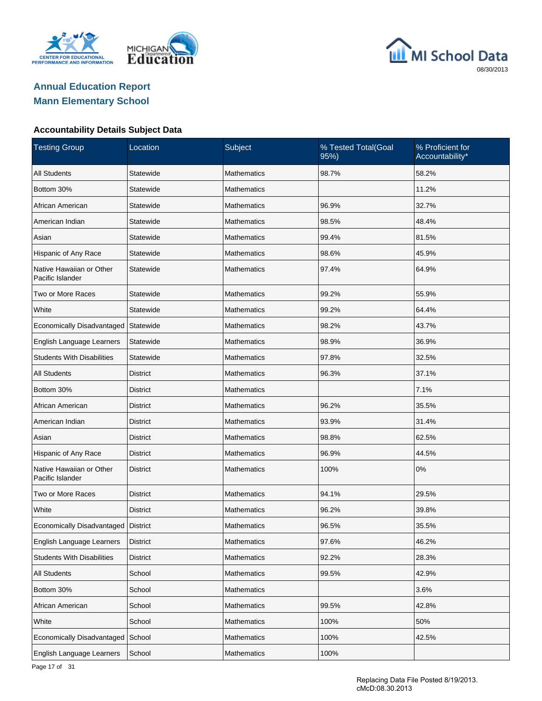





| <b>Testing Group</b>                         | Location        | Subject            | % Tested Total(Goal<br>95%) | % Proficient for<br>Accountability* |
|----------------------------------------------|-----------------|--------------------|-----------------------------|-------------------------------------|
| <b>All Students</b>                          | Statewide       | <b>Mathematics</b> | 98.7%                       | 58.2%                               |
| Bottom 30%                                   | Statewide       | <b>Mathematics</b> |                             | 11.2%                               |
| African American                             | Statewide       | Mathematics        | 96.9%                       | 32.7%                               |
| American Indian                              | Statewide       | <b>Mathematics</b> | 98.5%                       | 48.4%                               |
| Asian                                        | Statewide       | Mathematics        | 99.4%                       | 81.5%                               |
| Hispanic of Any Race                         | Statewide       | <b>Mathematics</b> | 98.6%                       | 45.9%                               |
| Native Hawaiian or Other<br>Pacific Islander | Statewide       | <b>Mathematics</b> | 97.4%                       | 64.9%                               |
| Two or More Races                            | Statewide       | <b>Mathematics</b> | 99.2%                       | 55.9%                               |
| White                                        | Statewide       | <b>Mathematics</b> | 99.2%                       | 64.4%                               |
| Economically Disadvantaged                   | Statewide       | <b>Mathematics</b> | 98.2%                       | 43.7%                               |
| English Language Learners                    | Statewide       | <b>Mathematics</b> | 98.9%                       | 36.9%                               |
| <b>Students With Disabilities</b>            | Statewide       | <b>Mathematics</b> | 97.8%                       | 32.5%                               |
| <b>All Students</b>                          | <b>District</b> | <b>Mathematics</b> | 96.3%                       | 37.1%                               |
| Bottom 30%                                   | <b>District</b> | <b>Mathematics</b> |                             | 7.1%                                |
| African American                             | <b>District</b> | <b>Mathematics</b> | 96.2%                       | 35.5%                               |
| American Indian                              | <b>District</b> | <b>Mathematics</b> | 93.9%                       | 31.4%                               |
| Asian                                        | <b>District</b> | <b>Mathematics</b> | 98.8%                       | 62.5%                               |
| Hispanic of Any Race                         | <b>District</b> | <b>Mathematics</b> | 96.9%                       | 44.5%                               |
| Native Hawaiian or Other<br>Pacific Islander | <b>District</b> | <b>Mathematics</b> | 100%                        | 0%                                  |
| Two or More Races                            | District        | Mathematics        | 94.1%                       | 29.5%                               |
| White                                        | <b>District</b> | <b>Mathematics</b> | 96.2%                       | 39.8%                               |
| Economically Disadvantaged   District        |                 | Mathematics        | 96.5%                       | 35.5%                               |
| English Language Learners                    | <b>District</b> | Mathematics        | 97.6%                       | 46.2%                               |
| <b>Students With Disabilities</b>            | <b>District</b> | Mathematics        | 92.2%                       | 28.3%                               |
| <b>All Students</b>                          | School          | <b>Mathematics</b> | 99.5%                       | 42.9%                               |
| Bottom 30%                                   | School          | Mathematics        |                             | 3.6%                                |
| African American                             | School          | <b>Mathematics</b> | 99.5%                       | 42.8%                               |
| White                                        | School          | <b>Mathematics</b> | 100%                        | 50%                                 |
| Economically Disadvantaged School            |                 | <b>Mathematics</b> | 100%                        | 42.5%                               |
| English Language Learners                    | School          | Mathematics        | 100%                        |                                     |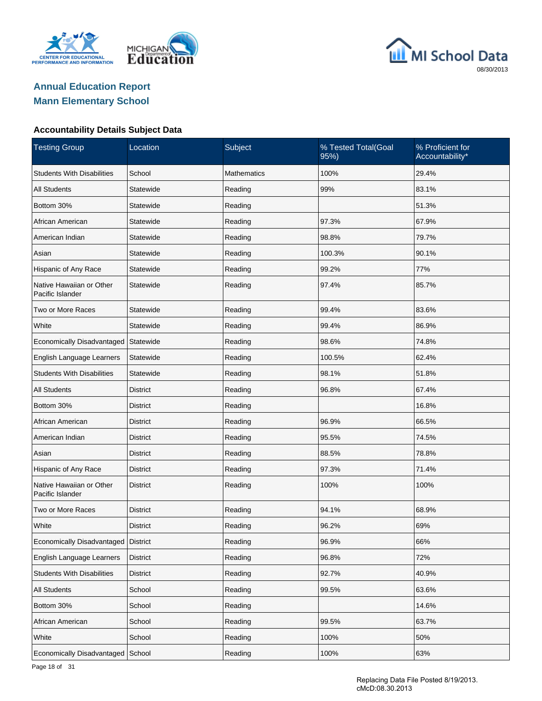





| <b>Testing Group</b>                         | Location        | Subject     | % Tested Total(Goal<br>95%) | % Proficient for<br>Accountability* |  |
|----------------------------------------------|-----------------|-------------|-----------------------------|-------------------------------------|--|
| <b>Students With Disabilities</b>            | School          | Mathematics | 100%                        | 29.4%                               |  |
| <b>All Students</b>                          | Statewide       | Reading     | 99%                         | 83.1%                               |  |
| Bottom 30%                                   | Statewide       | Reading     |                             | 51.3%                               |  |
| African American                             | Statewide       | Reading     | 97.3%                       | 67.9%                               |  |
| American Indian                              | Statewide       | Reading     | 98.8%                       | 79.7%                               |  |
| Asian                                        | Statewide       | Reading     | 100.3%                      | 90.1%                               |  |
| Hispanic of Any Race                         | Statewide       | Reading     | 99.2%                       | 77%                                 |  |
| Native Hawaiian or Other<br>Pacific Islander | Statewide       | Reading     | 97.4%                       | 85.7%                               |  |
| Two or More Races                            | Statewide       | Reading     | 99.4%                       | 83.6%                               |  |
| White                                        | Statewide       | Reading     | 99.4%                       | 86.9%                               |  |
| Economically Disadvantaged                   | Statewide       | Reading     | 98.6%                       | 74.8%                               |  |
| English Language Learners                    | Statewide       | Reading     | 100.5%                      | 62.4%                               |  |
| <b>Students With Disabilities</b>            | Statewide       | Reading     | 98.1%                       | 51.8%                               |  |
| <b>All Students</b>                          | <b>District</b> | Reading     | 96.8%                       | 67.4%                               |  |
| Bottom 30%                                   | <b>District</b> | Reading     |                             | 16.8%                               |  |
| African American                             | <b>District</b> | Reading     | 96.9%                       | 66.5%                               |  |
| American Indian                              | <b>District</b> | Reading     | 95.5%                       | 74.5%                               |  |
| Asian                                        | <b>District</b> | Reading     | 88.5%                       | 78.8%                               |  |
| Hispanic of Any Race                         | <b>District</b> | Reading     | 97.3%                       | 71.4%                               |  |
| Native Hawaiian or Other<br>Pacific Islander | <b>District</b> | Reading     | 100%                        | 100%                                |  |
| Two or More Races                            | <b>District</b> | Reading     | 94.1%                       | 68.9%                               |  |
| White                                        | <b>District</b> | Reading     | 96.2%                       | 69%                                 |  |
| Economically Disadvantaged District          |                 | Reading     | 96.9%                       | 66%                                 |  |
| English Language Learners                    | <b>District</b> | Reading     | 96.8%                       | 72%                                 |  |
| <b>Students With Disabilities</b>            | <b>District</b> | Reading     | 92.7%                       | 40.9%                               |  |
| All Students                                 | School          | Reading     | 99.5%                       | 63.6%                               |  |
| Bottom 30%                                   | School          | Reading     |                             | 14.6%                               |  |
| African American                             | School          | Reading     | 99.5%                       | 63.7%                               |  |
| White                                        | School          | Reading     | 100%                        | 50%                                 |  |
| Economically Disadvantaged School            |                 | Reading     | 100%                        | 63%                                 |  |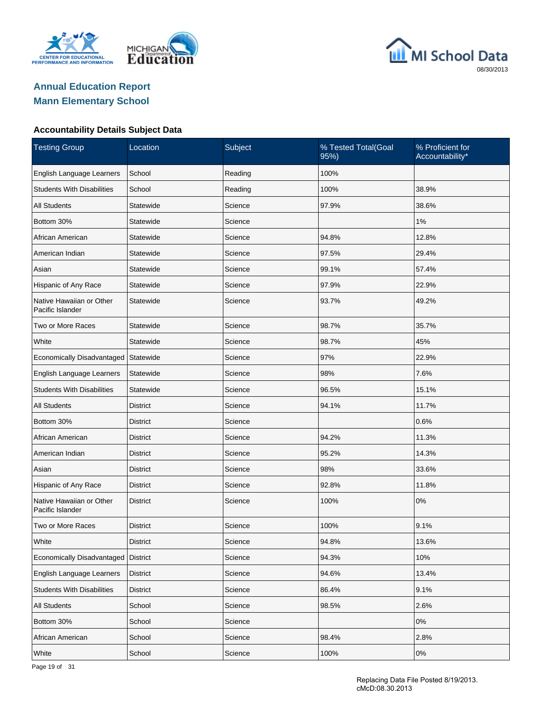





| <b>Testing Group</b>                         | Location        | Subject | % Tested Total(Goal<br>95%) | % Proficient for<br>Accountability* |
|----------------------------------------------|-----------------|---------|-----------------------------|-------------------------------------|
| English Language Learners                    | School          | Reading | 100%                        |                                     |
| <b>Students With Disabilities</b>            | School          | Reading | 100%                        | 38.9%                               |
| <b>All Students</b>                          | Statewide       | Science | 97.9%                       | 38.6%                               |
| Bottom 30%                                   | Statewide       | Science |                             | 1%                                  |
| African American                             | Statewide       | Science | 94.8%                       | 12.8%                               |
| American Indian                              | Statewide       | Science | 97.5%                       | 29.4%                               |
| Asian                                        | Statewide       | Science | 99.1%                       | 57.4%                               |
| Hispanic of Any Race                         | Statewide       | Science | 97.9%                       | 22.9%                               |
| Native Hawaiian or Other<br>Pacific Islander | Statewide       | Science | 93.7%                       | 49.2%                               |
| Two or More Races                            | Statewide       | Science | 98.7%                       | 35.7%                               |
| White                                        | Statewide       | Science | 98.7%                       | 45%                                 |
| Economically Disadvantaged                   | Statewide       | Science | 97%                         | 22.9%                               |
| English Language Learners                    | Statewide       | Science | 98%                         | 7.6%                                |
| <b>Students With Disabilities</b>            | Statewide       | Science | 96.5%                       | 15.1%                               |
| <b>All Students</b>                          | District        | Science | 94.1%                       | 11.7%                               |
| Bottom 30%                                   | <b>District</b> | Science |                             | 0.6%                                |
| African American                             | District        | Science | 94.2%                       | 11.3%                               |
| American Indian                              | <b>District</b> | Science | 95.2%                       | 14.3%                               |
| Asian                                        | District        | Science | 98%                         | 33.6%                               |
| Hispanic of Any Race                         | District        | Science | 92.8%                       | 11.8%                               |
| Native Hawaiian or Other<br>Pacific Islander | <b>District</b> | Science | 100%                        | 0%                                  |
| Two or More Races                            | <b>District</b> | Science | 100%                        | 9.1%                                |
| White                                        | <b>District</b> | Science | 94.8%                       | 13.6%                               |
| Economically Disadvantaged                   | <b>District</b> | Science | 94.3%                       | 10%                                 |
| English Language Learners                    | <b>District</b> | Science | 94.6%                       | 13.4%                               |
| <b>Students With Disabilities</b>            | <b>District</b> | Science | 86.4%                       | 9.1%                                |
| <b>All Students</b>                          | School          | Science | 98.5%                       | 2.6%                                |
| Bottom 30%                                   | School          | Science |                             | 0%                                  |
| African American                             | School          | Science | 98.4%                       | 2.8%                                |
| White                                        | School          | Science | 100%                        | 0%                                  |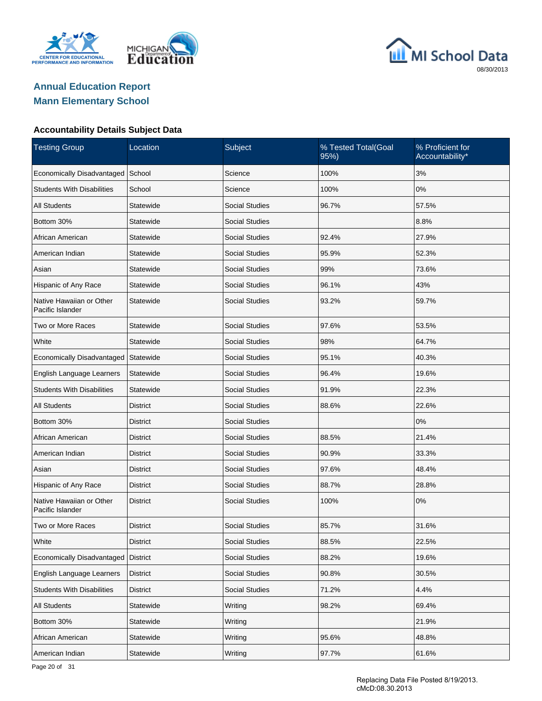





| <b>Testing Group</b>                         | Location        | Subject               | % Tested Total(Goal<br>95%) | % Proficient for<br>Accountability* |
|----------------------------------------------|-----------------|-----------------------|-----------------------------|-------------------------------------|
| Economically Disadvantaged                   | School          | Science               | 100%                        | 3%                                  |
| <b>Students With Disabilities</b>            | School          | Science               | 100%                        | 0%                                  |
| <b>All Students</b>                          | Statewide       | <b>Social Studies</b> | 96.7%                       | 57.5%                               |
| Bottom 30%                                   | Statewide       | <b>Social Studies</b> |                             | 8.8%                                |
| African American                             | Statewide       | <b>Social Studies</b> | 92.4%                       | 27.9%                               |
| American Indian                              | Statewide       | <b>Social Studies</b> | 95.9%                       | 52.3%                               |
| Asian                                        | Statewide       | <b>Social Studies</b> | 99%                         | 73.6%                               |
| Hispanic of Any Race                         | Statewide       | <b>Social Studies</b> | 96.1%                       | 43%                                 |
| Native Hawaiian or Other<br>Pacific Islander | Statewide       | <b>Social Studies</b> | 93.2%                       | 59.7%                               |
| Two or More Races                            | Statewide       | <b>Social Studies</b> | 97.6%                       | 53.5%                               |
| White                                        | Statewide       | Social Studies        | 98%                         | 64.7%                               |
| Economically Disadvantaged                   | Statewide       | <b>Social Studies</b> | 95.1%                       | 40.3%                               |
| English Language Learners                    | Statewide       | <b>Social Studies</b> | 96.4%                       | 19.6%                               |
| <b>Students With Disabilities</b>            | Statewide       | <b>Social Studies</b> | 91.9%                       | 22.3%                               |
| <b>All Students</b>                          | <b>District</b> | <b>Social Studies</b> | 88.6%                       | 22.6%                               |
| Bottom 30%                                   | <b>District</b> | <b>Social Studies</b> |                             | 0%                                  |
| African American                             | <b>District</b> | <b>Social Studies</b> | 88.5%                       | 21.4%                               |
| American Indian                              | <b>District</b> | <b>Social Studies</b> | 90.9%                       | 33.3%                               |
| Asian                                        | District        | <b>Social Studies</b> | 97.6%                       | 48.4%                               |
| Hispanic of Any Race                         | <b>District</b> | <b>Social Studies</b> | 88.7%                       | 28.8%                               |
| Native Hawaiian or Other<br>Pacific Islander | <b>District</b> | <b>Social Studies</b> | 100%                        | 0%                                  |
| Two or More Races                            | <b>District</b> | <b>Social Studies</b> | 85.7%                       | 31.6%                               |
| White                                        | <b>District</b> | <b>Social Studies</b> | 88.5%                       | 22.5%                               |
| Economically Disadvantaged                   | <b>District</b> | Social Studies        | 88.2%                       | 19.6%                               |
| English Language Learners                    | <b>District</b> | Social Studies        | 90.8%                       | 30.5%                               |
| <b>Students With Disabilities</b>            | <b>District</b> | Social Studies        | 71.2%                       | 4.4%                                |
| <b>All Students</b>                          | Statewide       | Writing               | 98.2%                       | 69.4%                               |
| Bottom 30%                                   | Statewide       | Writing               |                             | 21.9%                               |
| African American                             | Statewide       | Writing               | 95.6%                       | 48.8%                               |
| American Indian                              | Statewide       | Writing               | 97.7%                       | 61.6%                               |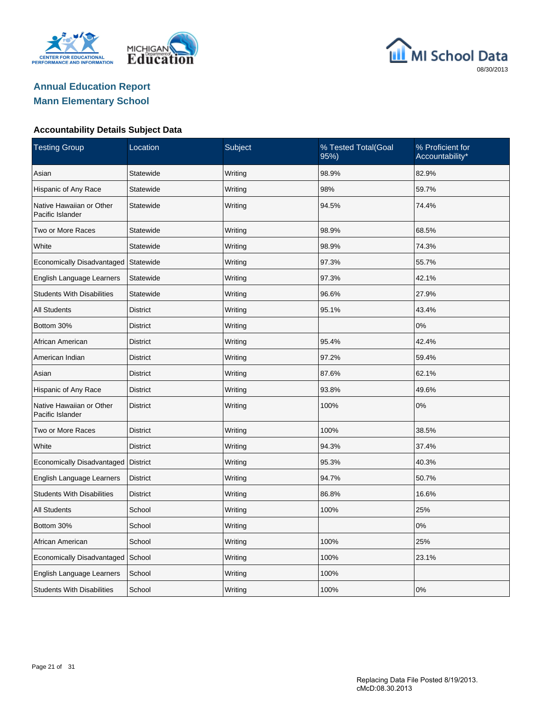





| <b>Testing Group</b>                         | Location        | Subject | % Tested Total(Goal<br>95%) | % Proficient for<br>Accountability* |
|----------------------------------------------|-----------------|---------|-----------------------------|-------------------------------------|
| Asian                                        | Statewide       | Writing | 98.9%                       | 82.9%                               |
| Hispanic of Any Race                         | Statewide       | Writing | 98%                         | 59.7%                               |
| Native Hawaiian or Other<br>Pacific Islander | Statewide       | Writing | 94.5%                       | 74.4%                               |
| Two or More Races                            | Statewide       | Writing | 98.9%                       | 68.5%                               |
| White                                        | Statewide       | Writing | 98.9%                       | 74.3%                               |
| Economically Disadvantaged                   | Statewide       | Writing | 97.3%                       | 55.7%                               |
| English Language Learners                    | Statewide       | Writing | 97.3%                       | 42.1%                               |
| <b>Students With Disabilities</b>            | Statewide       | Writing | 96.6%                       | 27.9%                               |
| <b>All Students</b>                          | <b>District</b> | Writing | 95.1%                       | 43.4%                               |
| Bottom 30%                                   | <b>District</b> | Writing |                             | 0%                                  |
| African American                             | <b>District</b> | Writing | 95.4%                       | 42.4%                               |
| American Indian                              | <b>District</b> | Writing | 97.2%                       | 59.4%                               |
| Asian                                        | <b>District</b> | Writing | 87.6%                       | 62.1%                               |
| Hispanic of Any Race                         | <b>District</b> | Writing | 93.8%                       | 49.6%                               |
| Native Hawaiian or Other<br>Pacific Islander | <b>District</b> | Writing | 100%                        | 0%                                  |
| Two or More Races                            | <b>District</b> | Writing | 100%                        | 38.5%                               |
| White                                        | <b>District</b> | Writing | 94.3%                       | 37.4%                               |
| Economically Disadvantaged                   | <b>District</b> | Writing | 95.3%                       | 40.3%                               |
| English Language Learners                    | <b>District</b> | Writing | 94.7%                       | 50.7%                               |
| <b>Students With Disabilities</b>            | <b>District</b> | Writing | 86.8%                       | 16.6%                               |
| <b>All Students</b>                          | School          | Writing | 100%                        | 25%                                 |
| Bottom 30%                                   | School          | Writing |                             | 0%                                  |
| African American                             | School          | Writing | 100%                        | 25%                                 |
| Economically Disadvantaged                   | School          | Writing | 100%                        | 23.1%                               |
| English Language Learners                    | School          | Writing | 100%                        |                                     |
| <b>Students With Disabilities</b>            | School          | Writing | 100%                        | 0%                                  |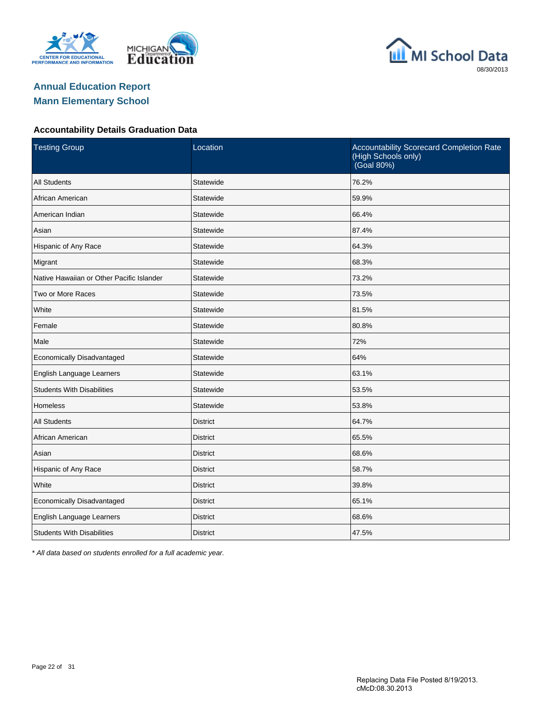





#### **Accountability Details Graduation Data**

| <b>Testing Group</b>                      | Location        | Accountability Scorecard Completion Rate<br>(High Schools only)<br>(Goal 80%) |
|-------------------------------------------|-----------------|-------------------------------------------------------------------------------|
| <b>All Students</b>                       | Statewide       | 76.2%                                                                         |
| African American                          | Statewide       | 59.9%                                                                         |
| American Indian                           | Statewide       | 66.4%                                                                         |
| Asian                                     | Statewide       | 87.4%                                                                         |
| Hispanic of Any Race                      | Statewide       | 64.3%                                                                         |
| Migrant                                   | Statewide       | 68.3%                                                                         |
| Native Hawaiian or Other Pacific Islander | Statewide       | 73.2%                                                                         |
| Two or More Races                         | Statewide       | 73.5%                                                                         |
| White                                     | Statewide       | 81.5%                                                                         |
| Female                                    | Statewide       | 80.8%                                                                         |
| Male                                      | Statewide       | 72%                                                                           |
| Economically Disadvantaged                | Statewide       | 64%                                                                           |
| English Language Learners                 | Statewide       | 63.1%                                                                         |
| <b>Students With Disabilities</b>         | Statewide       | 53.5%                                                                         |
| Homeless                                  | Statewide       | 53.8%                                                                         |
| <b>All Students</b>                       | <b>District</b> | 64.7%                                                                         |
| African American                          | <b>District</b> | 65.5%                                                                         |
| Asian                                     | <b>District</b> | 68.6%                                                                         |
| Hispanic of Any Race                      | <b>District</b> | 58.7%                                                                         |
| White                                     | <b>District</b> | 39.8%                                                                         |
| Economically Disadvantaged                | <b>District</b> | 65.1%                                                                         |
| English Language Learners                 | <b>District</b> | 68.6%                                                                         |
| <b>Students With Disabilities</b>         | <b>District</b> | 47.5%                                                                         |

\* All data based on students enrolled for a full academic year.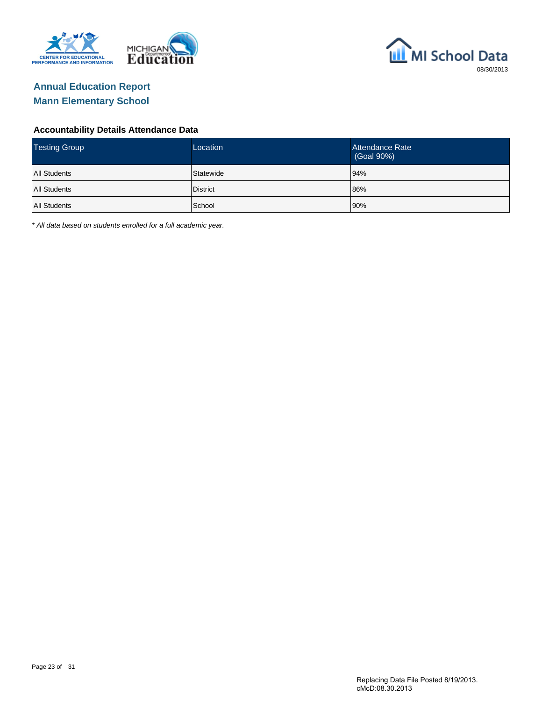



#### **Accountability Details Attendance Data**

| <b>Testing Group</b> | Location  | Attendance Rate<br>(Goal 90%) |
|----------------------|-----------|-------------------------------|
| <b>All Students</b>  | Statewide | 94%                           |
| <b>All Students</b>  | District  | 86%                           |
| <b>All Students</b>  | School    | 90%                           |

\* All data based on students enrolled for a full academic year.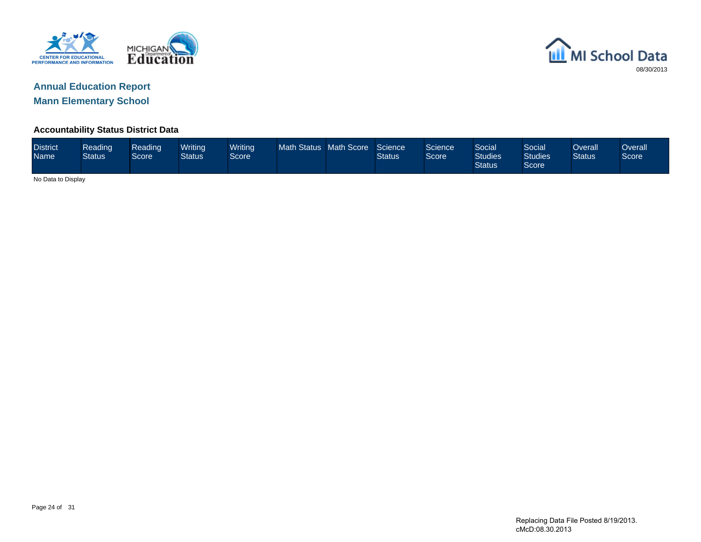



#### **Accountability Status District Data**

| <b>District</b><br><b>Name</b> | Reading<br><b>Status</b> | Reading<br>Score | Writing<br><b>Status</b> | <b>Writing</b><br>Score | Math Status Math Score |  | Science<br>Status | Science <sup>1</sup><br>Score <sup>1</sup> | Social<br><b>Studies</b><br><b>Status</b> | Social<br><b>Studies</b><br>Score | Overall<br><b>Status</b> | Overallˈ<br>Score |
|--------------------------------|--------------------------|------------------|--------------------------|-------------------------|------------------------|--|-------------------|--------------------------------------------|-------------------------------------------|-----------------------------------|--------------------------|-------------------|
|                                | No Data to Display       |                  |                          |                         |                        |  |                   |                                            |                                           |                                   |                          |                   |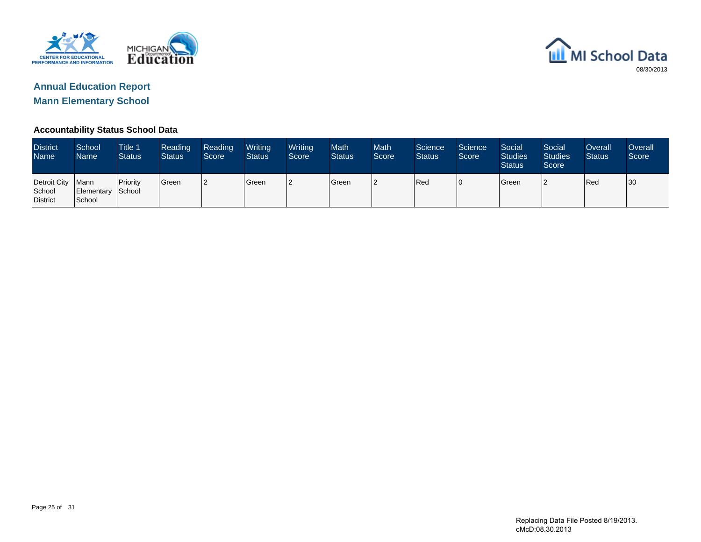



#### **Accountability Status School Data**

| <b>District</b><br><b>Name</b>            | School<br><b>Name</b>       | Title 1<br><b>Status</b> | Reading<br><b>Status</b> | Reading<br>Score | Writing<br><b>Status</b> | Writing<br>Score | <b>Math</b><br><b>Status</b> | <b>Math</b><br>Score | Science<br><b>Status</b> | Science<br>Score | Social<br><b>Studies</b><br><b>Status</b> | Social<br><b>Studies</b><br>Score | Overall<br><b>Status</b> | <b>Overall</b><br>Score |
|-------------------------------------------|-----------------------------|--------------------------|--------------------------|------------------|--------------------------|------------------|------------------------------|----------------------|--------------------------|------------------|-------------------------------------------|-----------------------------------|--------------------------|-------------------------|
| Detroit City   Mann<br>School<br>District | Elementary School<br>School | <b>Priority</b>          | Green                    | 12               | <b>I</b> Green           | 12               | <b>S</b> reen                | l2                   | Red                      | 10               | <b>S</b> reen                             |                                   | Red                      | 30                      |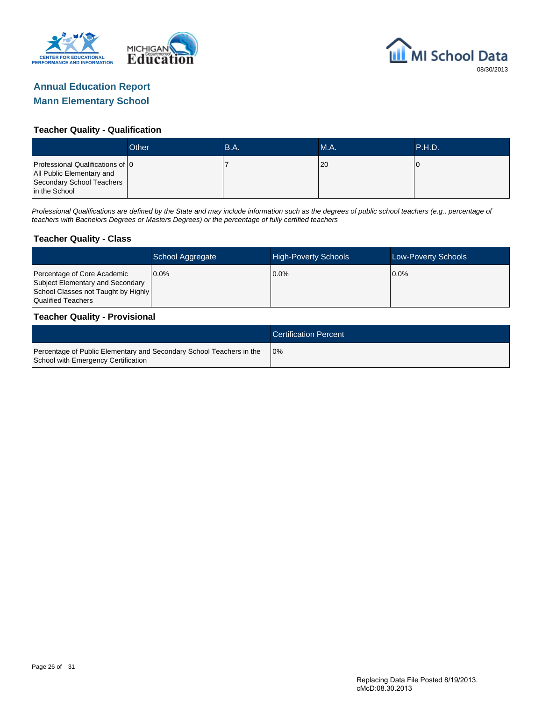



#### **Teacher Quality - Qualification**

|                                                                                                             | Other | B.A. | MA. | <b>\P.H.D.</b> |
|-------------------------------------------------------------------------------------------------------------|-------|------|-----|----------------|
| Professional Qualifications of 0<br>All Public Elementary and<br>Secondary School Teachers<br>in the School |       |      | 20  |                |

Professional Qualifications are defined by the State and may include information such as the degrees of public school teachers (e.g., percentage of teachers with Bachelors Degrees or Masters Degrees) or the percentage of fully certified teachers

#### **Teacher Quality - Class**

|                                                                                                                              | School Aggregate | <b>High-Poverty Schools</b> | Low-Poverty Schools |
|------------------------------------------------------------------------------------------------------------------------------|------------------|-----------------------------|---------------------|
| Percentage of Core Academic<br>Subject Elementary and Secondary<br>School Classes not Taught by Highly<br>Qualified Teachers | $0.0\%$          | $0.0\%$                     | $0.0\%$             |

#### **Teacher Quality - Provisional**

|                                                                                                             | <b>Certification Percent</b> |
|-------------------------------------------------------------------------------------------------------------|------------------------------|
| Percentage of Public Elementary and Secondary School Teachers in the<br>School with Emergency Certification | 10%                          |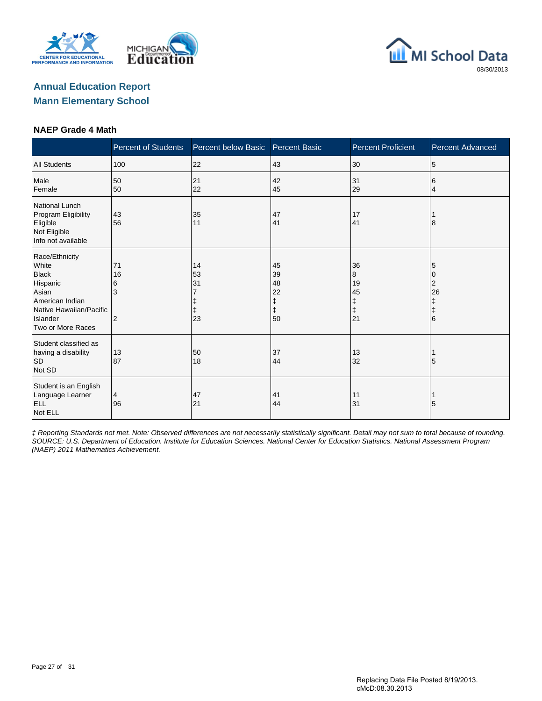





#### **NAEP Grade 4 Math**

|                                                                                                                                             | <b>Percent of Students</b>           | Percent below Basic                | <b>Percent Basic</b>                                   | <b>Percent Proficient</b>                    | <b>Percent Advanced</b>                    |
|---------------------------------------------------------------------------------------------------------------------------------------------|--------------------------------------|------------------------------------|--------------------------------------------------------|----------------------------------------------|--------------------------------------------|
| <b>All Students</b>                                                                                                                         | 100                                  | 22                                 | 43                                                     | 30                                           | 5                                          |
| Male<br>Female                                                                                                                              | 50<br>50                             | 21<br>22                           | 42<br>45                                               | 31<br>29                                     | 6<br>$\overline{4}$                        |
| National Lunch<br>Program Eligibility<br>Eligible<br>Not Eligible<br>Info not available                                                     | 43<br>56                             | 35<br>11                           | 47<br>41                                               | 17<br>41                                     | 8                                          |
| Race/Ethnicity<br>White<br><b>Black</b><br>Hispanic<br>Asian<br>American Indian<br>Native Hawaiian/Pacific<br>Islander<br>Two or More Races | 71<br>16<br>6<br>3<br>$\overline{2}$ | 14<br>53<br>31<br>$\ddagger$<br>23 | 45<br>39<br>48<br>22<br>$\ddagger$<br>$\ddagger$<br>50 | 36<br>8<br>19<br>45<br>ŧ<br>$\ddagger$<br>21 | 5<br>10<br>2<br>26<br>ŧ<br>$\ddagger$<br>6 |
| Student classified as<br>having a disability<br><b>SD</b><br>Not SD                                                                         | 13<br>87                             | 50<br>18                           | 37<br>44                                               | 13<br>32                                     | 5                                          |
| Student is an English<br>Language Learner<br><b>ELL</b><br>Not ELL                                                                          | $\overline{4}$<br>96                 | 47<br>21                           | 41<br>44                                               | 11<br>31                                     | 5                                          |

‡ Reporting Standards not met. Note: Observed differences are not necessarily statistically significant. Detail may not sum to total because of rounding. SOURCE: U.S. Department of Education. Institute for Education Sciences. National Center for Education Statistics. National Assessment Program (NAEP) 2011 Mathematics Achievement.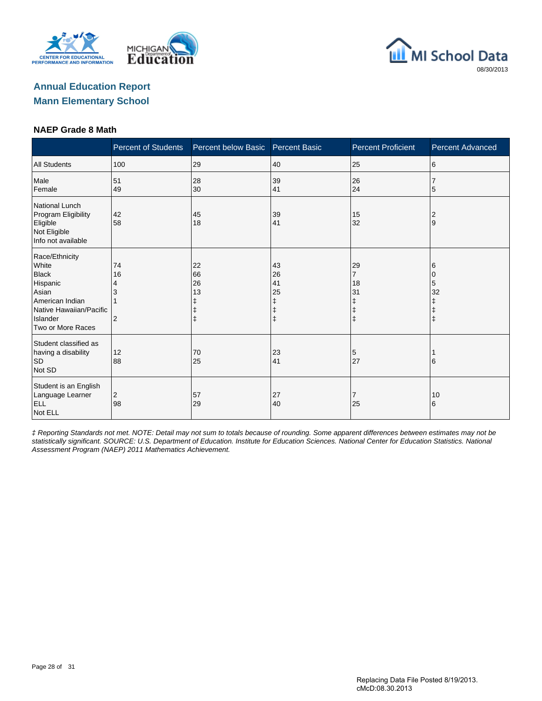





#### **NAEP Grade 8 Math**

|                                                                                                                                             | <b>Percent of Students</b>      | Percent below Basic                     | <b>Percent Basic</b>               | <b>Percent Proficient</b>                            | <b>Percent Advanced</b>     |
|---------------------------------------------------------------------------------------------------------------------------------------------|---------------------------------|-----------------------------------------|------------------------------------|------------------------------------------------------|-----------------------------|
| <b>All Students</b>                                                                                                                         | 100                             | 29                                      | 40                                 | 25                                                   | 6                           |
| Male<br>Female                                                                                                                              | 51<br>49                        | 28<br>30                                | 39<br>41                           | 26<br>24                                             | 5                           |
| National Lunch<br>Program Eligibility<br>Eligible<br>Not Eligible<br>Info not available                                                     | 42<br>58                        | 45<br>18                                | 39<br>41                           | 15<br>32                                             | 2<br>9                      |
| Race/Ethnicity<br>White<br><b>Black</b><br>Hispanic<br>Asian<br>American Indian<br>Native Hawaiian/Pacific<br>Islander<br>Two or More Races | 74<br>16<br>4<br>$\overline{2}$ | 22<br>66<br>26<br>13<br>ŧ<br>$\ddagger$ | 43<br>26<br>41<br>25<br>$\ddagger$ | 29<br>7<br>18<br>31<br>ŧ<br>$\ddagger$<br>$\ddagger$ | 6<br>0<br>5<br>32<br>ŧ<br>ŧ |
| Student classified as<br>having a disability<br><b>SD</b><br>Not SD                                                                         | 12<br>88                        | 70<br>25                                | 23<br>41                           | 5<br>27                                              | 16                          |
| Student is an English<br>Language Learner<br><b>ELL</b><br>Not ELL                                                                          | 2<br>98                         | 57<br>29                                | 27<br>40                           | 7<br>25                                              | 10<br>6                     |

‡ Reporting Standards not met. NOTE: Detail may not sum to totals because of rounding. Some apparent differences between estimates may not be statistically significant. SOURCE: U.S. Department of Education. Institute for Education Sciences. National Center for Education Statistics. National Assessment Program (NAEP) 2011 Mathematics Achievement.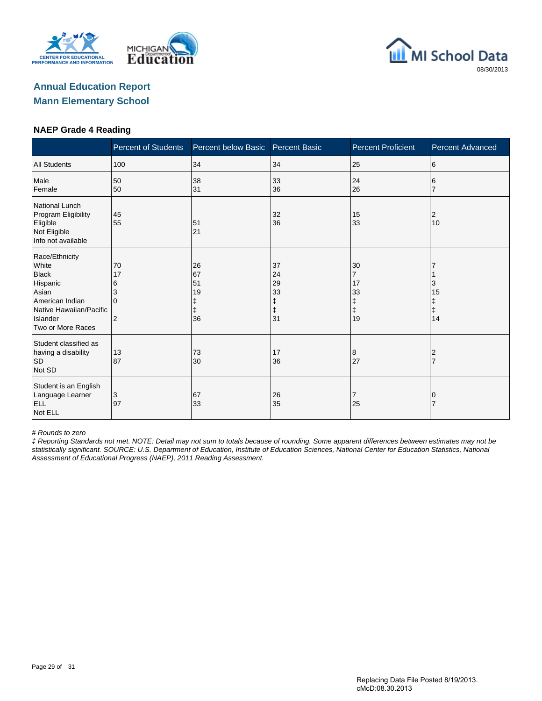





#### **NAEP Grade 4 Reading**

|                                                                                                                                             | <b>Percent of Students</b>          | Percent below Basic        | <b>Percent Basic</b>                                   | <b>Percent Proficient</b>                                 | <b>Percent Advanced</b> |
|---------------------------------------------------------------------------------------------------------------------------------------------|-------------------------------------|----------------------------|--------------------------------------------------------|-----------------------------------------------------------|-------------------------|
| <b>All Students</b>                                                                                                                         | 100                                 | 34                         | 34                                                     | 25                                                        | 6                       |
| Male<br>Female                                                                                                                              | 50<br>50                            | 38<br>31                   | 33<br>36                                               | 24<br>26                                                  | 6                       |
| <b>National Lunch</b><br>Program Eligibility<br>Eligible<br>Not Eligible<br>Info not available                                              | 45<br>55                            | 51<br>21                   | 32<br>36                                               | 15<br>33                                                  | 2<br>10                 |
| Race/Ethnicity<br>White<br><b>Black</b><br>Hispanic<br>Asian<br>American Indian<br>Native Hawaiian/Pacific<br>Islander<br>Two or More Races | 70<br>17<br>6<br>3<br>$\Omega$<br>2 | 26<br>67<br>51<br>19<br>36 | 37<br>24<br>29<br>33<br>$\ddagger$<br>$\ddagger$<br>31 | 30<br>$\overline{7}$<br>17<br>33<br>ŧ<br>$\ddagger$<br>19 | З<br>15<br>Ŧ<br>ŧ<br>14 |
| Student classified as<br>having a disability<br>SD<br>Not SD                                                                                | 13<br>87                            | 73<br>30                   | 17<br>36                                               | 8<br>27                                                   | 2                       |
| Student is an English<br>Language Learner<br><b>ELL</b><br>Not ELL                                                                          | 3<br>97                             | 67<br>33                   | 26<br>35                                               | 7<br>25                                                   |                         |

# Rounds to zero

‡ Reporting Standards not met. NOTE: Detail may not sum to totals because of rounding. Some apparent differences between estimates may not be statistically significant. SOURCE: U.S. Department of Education, Institute of Education Sciences, National Center for Education Statistics, National Assessment of Educational Progress (NAEP), 2011 Reading Assessment.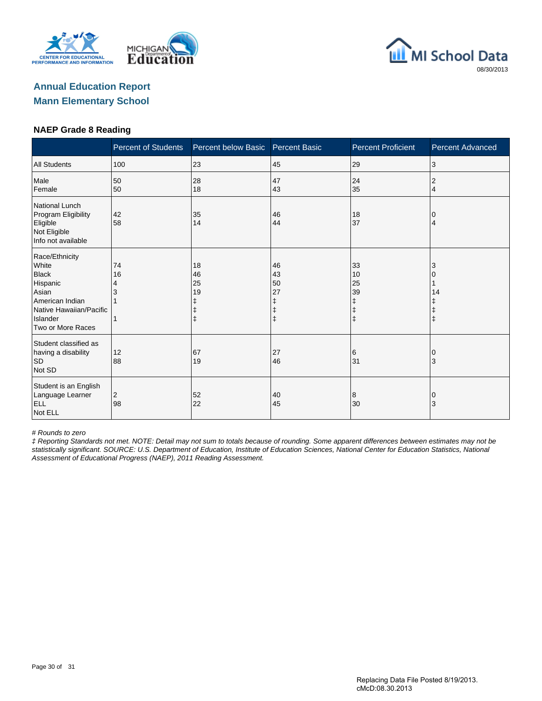





#### **NAEP Grade 8 Reading**

|                                                                                                                                             | <b>Percent of Students</b> | Percent below Basic                                   | <b>Percent Basic</b>      | <b>Percent Proficient</b>                             | <b>Percent Advanced</b> |
|---------------------------------------------------------------------------------------------------------------------------------------------|----------------------------|-------------------------------------------------------|---------------------------|-------------------------------------------------------|-------------------------|
| <b>All Students</b>                                                                                                                         | 100                        | 23                                                    | 45                        | 29                                                    | 3                       |
| Male<br>Female                                                                                                                              | 50<br>50                   | 28<br>18                                              | 47<br>43                  | 24<br>35                                              | 2<br>$\overline{4}$     |
| National Lunch<br>Program Eligibility<br>Eligible<br>Not Eligible<br>Info not available                                                     | 42<br>58                   | 35<br>14                                              | 46<br>44                  | 18<br>37                                              | 0<br>4                  |
| Race/Ethnicity<br>White<br><b>Black</b><br>Hispanic<br>Asian<br>American Indian<br>Native Hawaiian/Pacific<br>Islander<br>Two or More Races | 74<br>16<br>4<br>3         | 18<br>46<br>25<br>19<br>ŧ<br>$\ddagger$<br>$\ddagger$ | 46<br>43<br>50<br>27<br>ŧ | 33<br>10<br>25<br>39<br>ŧ<br>$\ddagger$<br>$\ddagger$ | 3<br>14                 |
| Student classified as<br>having a disability<br><b>SD</b><br>Not SD                                                                         | 12<br>88                   | 67<br>19                                              | 27<br>46                  | 6<br>31                                               | ΙO<br>3                 |
| Student is an English<br>Language Learner<br><b>ELL</b><br>Not ELL                                                                          | 2<br>98                    | 52<br>22                                              | 40<br>45                  | 8<br>30                                               | 0<br>3                  |

# Rounds to zero

‡ Reporting Standards not met. NOTE: Detail may not sum to totals because of rounding. Some apparent differences between estimates may not be statistically significant. SOURCE: U.S. Department of Education, Institute of Education Sciences, National Center for Education Statistics, National Assessment of Educational Progress (NAEP), 2011 Reading Assessment.